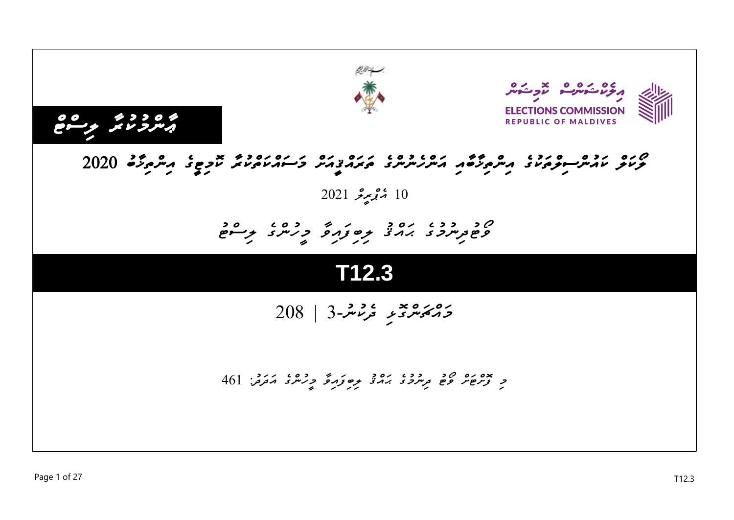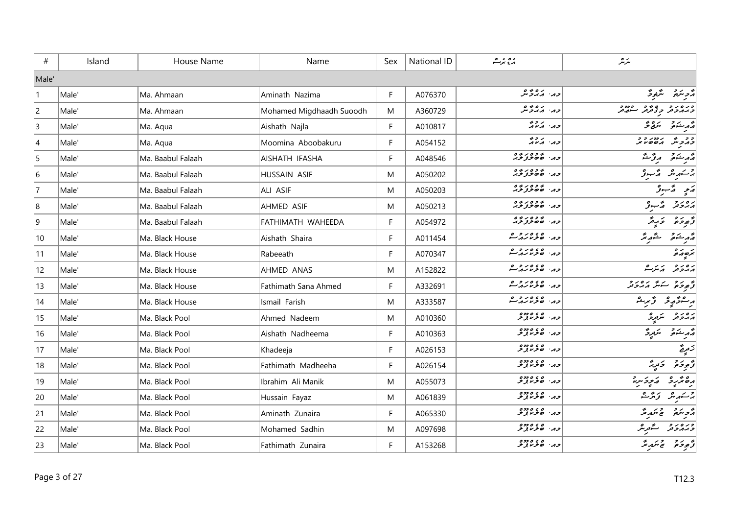| #              | Island | House Name        | Name                     | Sex       | National ID | ، ه ، بر <u>م</u>                                      | ىئرىتر                                    |
|----------------|--------|-------------------|--------------------------|-----------|-------------|--------------------------------------------------------|-------------------------------------------|
| Male'          |        |                   |                          |           |             |                                                        |                                           |
| $\vert$ 1      | Male'  | Ma. Ahmaan        | Aminath Nazima           | F         | A076370     | وړ٠ روومو                                              | أرمز<br>سترەپرىتى                         |
| 2              | Male'  | Ma. Ahmaan        | Mohamed Migdhaadh Suoodh | M         | A360729     | وړ٠ د پرونو                                            | وره روم ده ودوو<br>وبرماوتر بازترتر سورتر |
| $\vert$ 3      | Male'  | Ma. Aqua          | Aishath Najla            | F         | A010817     | 222.75                                                 | وكرمائية والمترجع فكالمحر                 |
| $\overline{4}$ | Male'  | Ma. Aqua          | Moomina Aboobakuru       | F         | A054152     | 222.75                                                 | ככ ה גמניכל<br>בגבית גם <i>ס</i> יצ       |
| $\overline{5}$ | Male'  | Ma. Baabul Falaah | AISHATH IFASHA           | F         | A048546     | وړ . ځه د ده ده<br>وړ . ځه <del>د</del> نوکر           | ەرمىسكى رۇشگ                              |
| $\overline{6}$ | Male'  | Ma. Baabul Falaah | HUSSAIN ASIF             | M         | A050202     | در به ۱۵۶۶<br>در کان دورور                             | يز سەر شەھ ئەسىرى                         |
| 7              | Male'  | Ma. Baabul Falaah | ALI ASIF                 | M         | A050203     | در گ <sup>و</sup> ده روه<br>در گان وزگر                | أوسمج وأسبوقر                             |
| 8              | Male'  | Ma. Baabul Falaah | AHMED ASIF               | ${\sf M}$ | A050213     | ود ه وه د ده<br>ود ه ه وزير                            | أرەر ئەسو                                 |
| 9              | Male'  | Ma. Baabul Falaah | FATHIMATH WAHEEDA        | F         | A054972     | در گ <sup>و</sup> ده روه<br>در گان وزگر                | وٌجوحَمَ وَرِيمٌ                          |
| 10             | Male'  | Ma. Black House   | Aishath Shaira           | F         | A011454     | وړ ه ورورو ه                                           | ۇرمۇق مۇرگە                               |
| 11             | Male'  | Ma. Black House   | Rabeeath                 | F         | A070347     | وړ ه ورورو ه                                           | ترەمەد                                    |
| 12             | Male'  | Ma. Black House   | AHMED ANAS               | M         | A152822     | وړ هغور دره د                                          | رەرد رىرگ                                 |
| 13             | Male'  | Ma. Black House   | Fathimath Sana Ahmed     | F         | A332691     | وړ ه ورورو ه                                           | و ده سکر دره ده                           |
| 14             | Male'  | Ma. Black House   | Ismail Farish            | ${\sf M}$ | A333587     | 2, 2000                                                | برڪروپو ژبرڪ                              |
| 15             | Male'  | Ma. Black Pool    | Ahmed Nadeem             | ${\sf M}$ | A010360     | ם הם בים בבים<br>כוזי נים <del>ב</del> יט <u>צ</u> ייב | پرورو شہرو                                |
| 16             | Male'  | Ma. Black Pool    | Aishath Nadheema         | F         | A010363     | ם גם כבים<br>כגי ישיב מצביב                            | و ديدو گرمړنو کل                          |
| 17             | Male'  | Ma. Black Pool    | Khadeeja                 | F         | A026153     | ם גם כבס<br>כגי שיכיו גיב                              | ئر تورچٌ<br>م                             |
| 18             | Male'  | Ma. Black Pool    | Fathimath Madheeha       | F         | A026154     | ם גם כבס<br>כגי שיכיו גיב                              | وٌمِ وَمَعْ وَمِنْهُ                      |
| 19             | Male'  | Ma. Black Pool    | Ibrahim Ali Manik        | M         | A055073     | ם גם כבים<br>כגי ישיב מצביב                            | رە ئەر ئە ئەر ئەر                         |
| 20             | Male'  | Ma. Black Pool    | Hussain Fayaz            | M         | A061839     | ם גם כבים<br>כגי ישיב מצביב                            | برسكهر تر تزريح                           |
| 21             | Male'  | Ma. Black Pool    | Aminath Zunaira          | F         | A065330     | ם גם כבים<br>כגי ישיב מצביב                            | أروسكم وسيمار                             |
| 22             | Male'  | Ma. Black Pool    | Mohamed Sadhin           | M         | A097698     | ם גם כבים<br>כגי ישיב מצביב                            | ورەرو شەرش                                |
| 23             | Male'  | Ma. Black Pool    | Fathimath Zunaira        | F         | A153268     | כו של טובס<br>כו של טובל                               | ۇج دە تەسىر                               |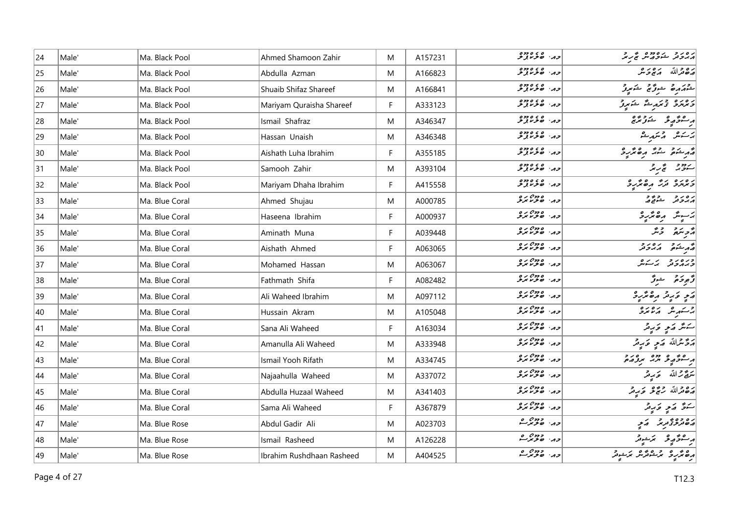| 24           | Male' | Ma. Black Pool | Ahmed Shamoon Zahir       | M  | A157231 | ه ۲۵ ووه<br>د د کلورونو                                                 | رەر دېرەددە پەرىر                       |
|--------------|-------|----------------|---------------------------|----|---------|-------------------------------------------------------------------------|-----------------------------------------|
| 25           | Male' | Ma. Black Pool | Abdulla Azman             | M  | A166823 | ם גם בבס<br>כו <i>ג : סיב</i> ט <u>צ</u> ייב                            | مَصْعَراللَّهُ مَعْ حَسْرَ              |
| 26           | Male' | Ma. Black Pool | Shuaib Shifaz Shareef     | M  | A166841 | ם הם בים בבים<br>כוזי נים <del>ב</del> יש ב                             | شەركە شورى شەيرو                        |
| 27           | Male' | Ma. Black Pool | Mariyam Quraisha Shareef  | F. | A333123 | ם הם בים בבים<br>כוזי נים <del>ב</del> יט <u>צ</u> ייב                  | وبمهرو ويمريك لمنهر                     |
| 28           | Male' | Ma. Black Pool | Ismail Shafraz            | M  | A346347 | ه ۲۵ ووه<br>د د کلورونو                                                 | ىر شۇر <sub>ۇ</sub> ھەر يەر ي           |
| 29           | Male' | Ma. Black Pool | Hassan Unaish             | M  | A346348 | ם גם בבס<br>כו <i>ג : סיב</i> ט <u>צ</u> ייב                            | يُرَسَمَّسُ مُرْسَمَدِ شَرَ             |
| 30           | Male' | Ma. Black Pool | Aishath Luha Ibrahim      | F  | A355185 | ه پر ۲۶۵ وره<br>د ۱۸ کلو کلو کلو                                        | أمر منعص المستقبل و متعرضه              |
| 31           | Male' | Ma. Black Pool | Samooh Zahir              | M  | A393104 | 020 c 0<br>3 مورا بو م                                                  | ردود ځريز                               |
| 32           | Male' | Ma. Black Pool | Mariyam Dhaha Ibrahim     | F. | A415558 | ם הם בים בבים<br>כוזי נים <del>ב</del> יש ב                             | و دره در ره ندر                         |
| 33           | Male' | Ma. Blue Coral | Ahmed Shujau              | M  | A000785 | ם כברי מים.<br>כומי ישי <i>יב טי</i> ביות                               | ره رح در در<br>پرګر در شوی              |
| 34           | Male' | Ma. Blue Coral | Haseena Ibrahim           | F. | A000937 | כני סידרי מים<br>כני סי <i>ב</i> ט זקיב                                 | بمسبش مرەغمىر                           |
| 35           | Male' | Ma. Blue Coral | Aminath Muna              | F  | A039448 | 0 ב ב-2 ב-2<br>1 ב ה- סיב מ' זה ב                                       | تر شر<br>أزمر بمرد                      |
| 36           | Male' | Ma. Blue Coral | Aishath Ahmed             | F  | A063065 | כני סידרי מים<br>כני סי <i>ב</i> ט זקיב                                 | مەرشىمى مەردىر                          |
| 37           | Male' | Ma. Blue Coral | Mohamed Hassan            | M  | A063067 | ם כברי מים.<br>כני יסיב מימיב                                           | ورەرو بەسەر                             |
| 38           | Male' | Ma. Blue Coral | Fathmath Shifa            | F. | A082482 | ם כברי מים.<br>כומי ישי <i>יב מי</i> בייבי                              | أوُّجوحَمَّ سُبِوَّ                     |
| 39           | Male' | Ma. Blue Coral | Ali Waheed Ibrahim        | M  | A097112 | כני סידרי מים<br>כני סי <i>ב</i> ט זקיב                                 | ړې ورېږ ره پر د                         |
| 40           | Male' | Ma. Blue Coral | Hussain Akram             | M  | A105048 | ם כברי מים.<br>כומי ישי <i>יב עי</i> ב                                  | بر شهر شهر مردم مرد                     |
| 41           | Male' | Ma. Blue Coral | Sana Ali Waheed           | F. | A163034 | ם כברי מים.<br>כומי ישי <i>יב עי</i> ב                                  | سەنئە مەمىي ئەرەتمە                     |
| 42           | Male' | Ma. Blue Coral | Amanulla Ali Waheed       | M  | A333948 | כני סידרי מים<br>כני סי <i>ב</i> ט זקיב                                 | أرَدَّ بِثْراللّه أَرْمٍ عَدِيمٌ        |
| $ 43\rangle$ | Male' | Ma. Blue Coral | Ismail Yooh Rifath        | M  | A334745 | ם ברי מידי הם<br>כני נסיב מידי ביב                                      | مر شو چې د هم ده مروز په د              |
| 44           | Male' | Ma. Blue Coral | Najaahulla Waheed         | M  | A337072 | ם כברי מים.<br>כני יסיב מימיב                                           | بترقي حرالله عربية                      |
| 45           | Male' | Ma. Blue Coral | Abdulla Huzaal Waheed     | M  | A341403 | ם בכ <sup>ס</sup> מברי מים.<br>כומיי יש <del>ב</del> מי ז <i>יני</i> ב. | رە دالله ریخ و درد                      |
| 46           | Male' | Ma. Blue Coral | Sama Ali Waheed           | F  | A367879 | כני סידרי מים<br>כני סי <i>ב</i> ט זקיב                                 | سَرَدٌ الْمَاحِي الْأَرْبَعْدِ          |
| 47           | Male' | Ma. Blue Rose  | Abdul Gadir Ali           | M  | A023703 | בני סיבית כ                                                             | ده وه د ورمړ له کړې<br>  د ه مرمونو مرم |
| 48           | Male' | Ma. Blue Rose  | Ismail Rasheed            | M  | A126228 | בו ים <i>בחרי</i> ם                                                     | ر عۇرپۇ ترخوتر                          |
| 49           | Male' | Ma. Blue Rose  | Ibrahim Rushdhaan Rasheed | M  | A404525 | בו בדברי כ                                                              | رە ئەرە بەر ئەر ئەسەر                   |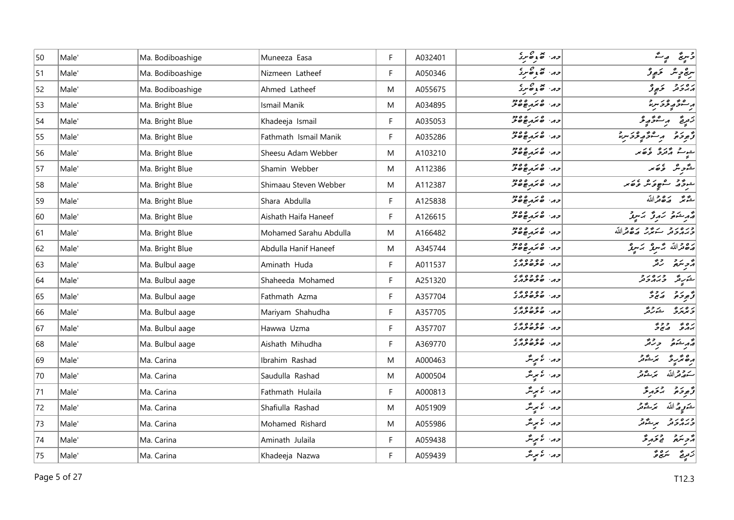| 50 | Male' | Ma. Bodiboashige | Muneeza Easa           | F         | A032401 | 6.07010.07                                     | دسم په                                     |
|----|-------|------------------|------------------------|-----------|---------|------------------------------------------------|--------------------------------------------|
| 51 | Male' | Ma. Bodiboashige | Nizmeen Latheef        | F         | A050346 |                                                | سرچ چې شر ځېږ ژ                            |
| 52 | Male' | Ma. Bodiboashige | Ahmed Latheef          | ${\sf M}$ | A055675 | $rac{c}{s}$                                    | رەرد ئەدى                                  |
| 53 | Male' | Ma. Bright Blue  | Ismail Manik           | M         | A034895 | כגי סיקת<br>כגי סיקת שישיב                     | ە ئەۋە پە ئەسرىيە<br>م                     |
| 54 | Male' | Ma. Bright Blue  | Khadeeja Ismail        | F         | A035053 | כגי הייקספיד<br>בגי הייקספיד                   | برڪو پُوچ<br>ترتوقے<br>ت                   |
| 55 | Male' | Ma. Bright Blue  | Fathmath Ismail Manik  | F         | A035286 | כגי שית ספיב                                   | ر                                          |
| 56 | Male' | Ma. Bright Blue  | Sheesu Adam Webber     | M         | A103210 | כני סיקופס <del>ק</del>                        | شور مرده عدد<br>خور مرکزی وکه بر           |
| 57 | Male' | Ma. Bright Blue  | Shamin Webber          | ${\sf M}$ | A112386 | כגי סיקת<br>כגי סיקת שישיב                     | أيتموش أوكامر                              |
| 58 | Male' | Ma. Bright Blue  | Shimaau Steven Webber  | ${\sf M}$ | A112387 | כגי הייקספיק<br>כגי הייקספיק                   | شرور معونه وه مر                           |
| 59 | Male' | Ma. Bright Blue  | Shara Abdulla          | F         | A125838 | כגי הייקספיק<br>כגי הייקספיק                   | شَعَمَّ مَصْحَراللَّه                      |
| 60 | Male' | Ma. Bright Blue  | Aishath Haifa Haneef   | F         | A126615 | כגי לימפים ב                                   | مەر شەڭ ئەرق ئاس                           |
| 61 | Male' | Ma. Bright Blue  | Mohamed Sarahu Abdulla | M         | A166482 | כגי הייקספי                                    | ورەرو روور دەوللە                          |
| 62 | Male' | Ma. Bright Blue  | Abdulla Hanif Haneef   | M         | A345744 | בגי שיתת שביב                                  | رەقماللە شىرو سىرو                         |
| 63 | Male' | Ma. Bulbul aage  | Aminath Huda           | F         | A011537 | C 4 0 7 0 7<br>S A <del>3</del> O 3 O · A 3    | أأروسهم الرقر                              |
| 64 | Male' | Ma. Bulbul aage  | Shaheeda Mohamed       | F         | A251320 | c + 0 0 0 0<br>5 A <b>3 O 3 O</b> $\cdot$ A 3  | شَرِيرٌ وبرورو                             |
| 65 | Male' | Ma. Bulbul aage  | Fathmath Azma          | F         | A357704 | c \$ 0 2 0 2<br>5 A <b>3 O 3 O</b> $\cdot$ A 3 | توجوحه وبرده                               |
| 66 | Male' | Ma. Bulbul aage  | Mariyam Shahudha       | F         | A357705 | وه ۲ <i>۵۶ ۵۶</i><br>ده کلوهود ک               | رەرە ئەدەر<br><i>دى</i> رەر ئىدىر          |
| 67 | Male' | Ma. Bulbul aage  | Hawwa Uzma             | F         | A357707 | C 4 0 7 0 7<br>S A <del>3</del> 0 3 0 ° A 3    | גם 2 בביב<br>ג'ו <i>ג</i> פ ו <i>ג</i> 'וב |
| 68 | Male' | Ma. Bulbul aage  | Aishath Mihudha        | F         | A369770 | C 4 0 7 0 7<br>S A <del>3</del> 0 3 0 ° A 3    | ومرشق ورقد                                 |
| 69 | Male' | Ma. Carina       | Ibrahim Rashad         | M         | A000463 | دە. ئ <sub>ام</sub> بەر                        | ەرھەترىر <sup>ە</sup><br>ىر شەقر           |
| 70 | Male' | Ma. Carina       | Saudulla Rashad        | M         | A000504 | دە. ئ <sub>ا ئېرىنگ</sub>                      | كرو قرالله<br>ىمەشقەتر                     |
| 71 | Male' | Ma. Carina       | Fathmath Hulaila       | F         | A000813 | دە. ئ <sub>ام</sub> بەتگە                      | رُجودَة لِمُعَهُدِ                         |
| 72 | Male' | Ma. Carina       | Shafiulla Rashad       | ${\sf M}$ | A051909 | <i>د</i> ر. غېږمتر                             | ڪو <i>رٍ ۾</i> الله <del>مرڪومر</del>      |
| 73 | Male' | Ma. Carina       | Mohamed Rishard        | M         | A055986 | دە. ئايرىتر                                    | ورەر د<br><i>دېرم</i> وتر برىشى            |
| 74 | Male' | Ma. Carina       | Aminath Julaila        | F         | A059438 | دە. ئ <sub>ا مېرىنگ</sub>                      | أزويتم فيخبر                               |
| 75 | Male' | Ma. Carina       | Khadeeja Nazwa         | F         | A059439 | <i>د</i> ر ، غېرىتر                            | ر ديدة مسترجدة<br>مستوقع مسترج             |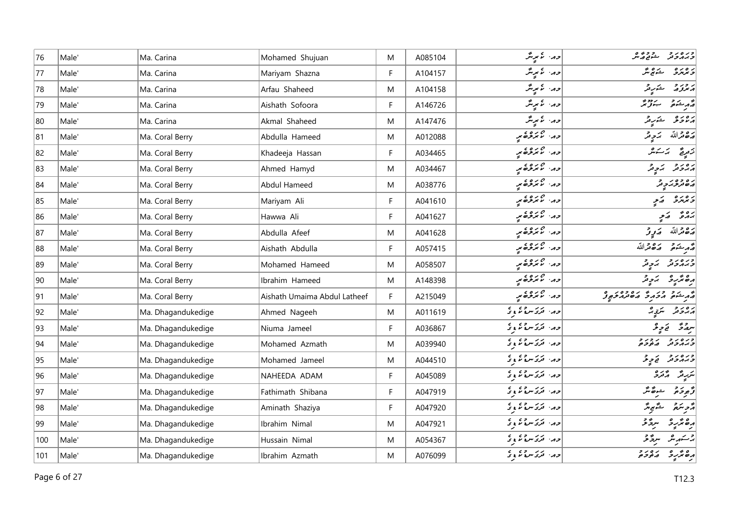| 76  | Male' | Ma. Carina         | Mohamed Shujuan              | M           | A085104 | در ، غږمتر                                       | شەھ <i>مە</i> بىر<br>و ره د د<br>تر پر ژنر |
|-----|-------|--------------------|------------------------------|-------------|---------|--------------------------------------------------|--------------------------------------------|
| 77  | Male' | Ma. Carina         | Mariyam Shazna               | $\mathsf F$ | A104157 | دە. ئامېتىر                                      | ر ه ر ه<br><del>و</del> بربر و             |
| 78  | Male' | Ma. Carina         | Arfau Shaheed                | M           | A104158 | دە ئىم ئىرىتىگە<br>مەسىر                         | أربور والمشارقر                            |
| 79  | Male' | Ma. Carina         | Aishath Sofoora              | F           | A146726 | دە ئىم ئىبرىتىگە                                 | وكرم شكرة والمستوفير                       |
| 80  | Male' | Ma. Carina         | Akmal Shaheed                | M           | A147476 | دە. ئ <sub>ام</sub> بەتگە                        | أرەر ئەر                                   |
| 81  | Male' | Ma. Coral Berry    | Abdulla Hameed               | M           | A012088 | קגי מיתכסית<br><i>בגי מיתכ</i> סית               | پره قرالله برج قر                          |
| 82  | Male' | Ma. Coral Berry    | Khadeeja Hassan              | $\mathsf F$ | A034465 | כו. מיקפטיק<br>כו. מיק <del>ק</del> פטיק         | زَمِرِيحَ   بَرَسَہْرُ                     |
| 83  | Male' | Ma. Coral Berry    | Ahmed Hamyd                  | M           | A034467 | حەربە ئەرەپىيە<br><i>جەنبا ئە</i> رمەھ           | أرور والمحافظ                              |
| 84  | Male' | Ma. Coral Berry    | Abdul Hameed                 | M           | A038776 | קגי מיקס <i>זי</i><br>קגי מי <i>קלפ</i> יק       | ړه وه ر ور<br>مەنگرىگرىز                   |
| 85  | Male' | Ma. Coral Berry    | Mariyam Ali                  | $\mathsf F$ | A041610 | حدث من يدوه بر                                   | د وره په په                                |
| 86  | Male' | Ma. Coral Berry    | Hawwa Ali                    | F           | A041627 | حەربىي ئەيدە ئەيدىيەت<br>مەنبەر ئاتىر ئىچىق ئىيد | بروء أيمي                                  |
| 87  | Male' | Ma. Coral Berry    | Abdulla Afeef                | M           | A041628 | ور ، مرده ،                                      | بره والله برويز                            |
| 88  | Male' | Ma. Coral Berry    | Aishath Abdulla              | F           | A057415 | حەربە ئەرەپىيە<br>خەر ئاتىر ئوقەتىيە             | مُصِيدَة مَـُ صَدَّاللَّهَ                 |
| 89  | Male' | Ma. Coral Berry    | Mohamed Hameed               | M           | A058507 | קגי מיקס <i>י</i><br>כגי מי <i>קל</i> פיק        | ورەرو كەچ                                  |
| 90  | Male' | Ma. Coral Berry    | Ibrahim Hameed               | M           | A148398 | קגי מיקסטית<br><i>בגי מיק</i> לפית               | رە ئرىر ئىچى                               |
| 91  | Male' | Ma. Coral Berry    | Aishath Umaima Abdul Latheef | F           | A215049 | دړ٠ تا بروه بر                                   |                                            |
| 92  | Male' | Ma. Dhagandukedige | Ahmed Nageeh                 | M           | A011619 | دە. ئۇنى سۇم بول                                 | پروتر سَرِّدٍ م                            |
| 93  | Male' | Ma. Dhagandukedige | Niuma Jameel                 | F           | A036867 | <i>دە . مۇكەندە ئا</i> بولۇ                      | سرچرمخت تج حي                              |
| 94  | Male' | Ma. Dhagandukedige | Mohamed Azmath               | M           | A039940 | حەر، ئۆتكەسى ئالغانى                             |                                            |
| 95  | Male' | Ma. Dhagandukedige | Mohamed Jameel               | M           | A044510 | حەر، ئۆركەسى ئالغا ئ                             | ورەرو پەر                                  |
| 96  | Male' | Ma. Dhagandukedige | NAHEEDA ADAM                 | $\mathsf F$ | A045089 | ورسترى سرومي                                     | سَرِيدٌ "دُمرُوْ                           |
| 97  | Male' | Ma. Dhagandukedige | Fathimath Shibana            | F           | A047919 | ورسترى سرومي                                     | ژوځو جوړنگر                                |
| 98  | Male' | Ma. Dhagandukedige | Aminath Shaziya              | F           | A047920 | <i>وه ترک</i> س کا دی                            | أزويتهم شمير                               |
| 99  | Male' | Ma. Dhagandukedige | Ibrahim Nimal                | M           | A047921 | ورسترى سيء وي                                    | ەھترىرى سر <i>ۇ</i> تر                     |
| 100 | Male' | Ma. Dhagandukedige | Hussain Nimal                | M           | A054367 | <i>دە. مۇكەندۇ</i> ئار                           | يز سكر مثل المريح فر                       |
| 101 | Male' | Ma. Dhagandukedige | Ibrahim Azmath               | M           | A076099 | ود. ترکه سره ۲ و د                               | دەنزىر مەدرە                               |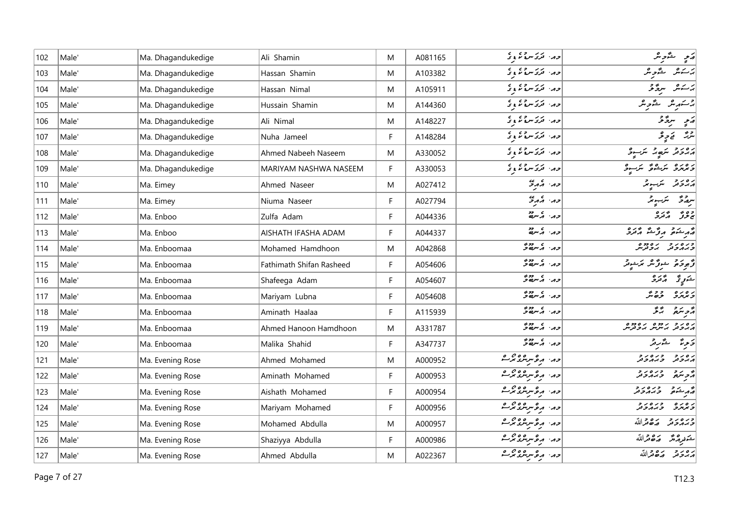| 102 | Male' | Ma. Dhagandukedige | Ali Shamin               | M           | A081165 | $5.505$ $-5.5$ $-1.7$               | ړې شورش                                                       |
|-----|-------|--------------------|--------------------------|-------------|---------|-------------------------------------|---------------------------------------------------------------|
| 103 | Male' | Ma. Dhagandukedige | Hassan Shamin            | M           | A103382 | $5.55 - 5.5 = 0.75$                 | <br>  يركبش مش <sub>رح</sub> ش                                |
| 104 | Male' | Ma. Dhagandukedige | Hassan Nimal             | M           | A105911 | حەر، ئۆتكەسى <sup>تى</sup> ئالماي ئ | ىرىكىش ئىردۇ ئى                                               |
| 105 | Male' | Ma. Dhagandukedige | Hussain Shamin           | M           | A144360 |                                     | برستهرش المشروش                                               |
| 106 | Male' | Ma. Dhagandukedige | Ali Nimal                | ${\sf M}$   | A148227 | ور. ترکه سوم نومی                   | ړې سرگرمۍ<br>مخ                                               |
| 107 | Male' | Ma. Dhagandukedige | Nuha Jameel              | F.          | A148284 | ورسترى سيء و                        | دور سي دي.<br>سرگ انجام ديگر                                  |
| 108 | Male' | Ma. Dhagandukedige | Ahmed Nabeeh Naseem      | M           | A330052 | ورسترى سروم                         | גפנד תופיצ תו-ק                                               |
| 109 | Male' | Ma. Dhagandukedige | MARIYAM NASHWA NASEEM    | F           | A330053 | ود ورسوم د                          | رەرە شرعى شرىدۇ                                               |
| 110 | Male' | Ma. Eimey          | Ahmed Naseer             | ${\sf M}$   | A027412 | בו. ו <sub>ראב</sub>                | أرەرو سكىبوش                                                  |
| 111 | Male' | Ma. Eimey          | Niuma Naseer             | F           | A027794 | בו ההפ                              | سرقاق الكرسوند                                                |
| 112 | Male' | Ma. Enboo          | Zulfa Adam               | F           | A044336 | בוגי ה"חש                           | وه به مرد<br>بحرق مرتزر                                       |
| 113 | Male' | Ma. Enboo          | AISHATH IFASHA ADAM      | F.          | A044337 | בני הייש                            | وأرشكم وؤنث وتره                                              |
| 114 | Male' | Ma. Enboomaa       | Mohamed Hamdhoon         | M           | A042868 | ג הי<br>כגי ה"שפ                    | כנסנכ נסמפס<br><i>כג</i> ובע גבעית                            |
| 115 | Male' | Ma. Enboomaa       | Fathimath Shifan Rasheed | $\mathsf F$ | A054606 | ג ה' ה' משיב<br>בג' ה' יישיב        | قُرُوحَةً سُوَتَمْ يَرْسُونُهُ                                |
| 116 | Male' | Ma. Enboomaa       | Shafeega Adam            | F           | A054607 | בני ה"שכל                           | شَرَوٍ يَثْنَ الْمُرْمَرُ وَ                                  |
| 117 | Male' | Ma. Enboomaa       | Mariyam Lubna            | $\mathsf F$ | A054608 | בני ה"שכל                           | ر ه بر ه<br><del>د</del> بربر د<br>وه ش                       |
| 118 | Male' | Ma. Enboomaa       | Aminath Haalaa           | F           | A115939 | ג היי היידיק<br>היה היידיק          | ړ څر پرو په لر                                                |
| 119 | Male' | Ma. Enboomaa       | Ahmed Hanoon Hamdhoon    | M           | A331787 | ג היי היידיק<br>היה היידיק          | קסק כן ככם קספס<br>ההכב <sub>ק</sub> הייקייק הכבקייק          |
| 120 | Male' | Ma. Enboomaa       | Malika Shahid            | F           | A347737 | בני היישיב                          | كزمرة التقرير                                                 |
| 121 | Male' | Ma. Evening Rose   | Ahmed Mohamed            | M           | A000952 | وړ٠ روسرچينې                        | و ر ه ر و<br>تر پروتر<br>ر ە ر د<br>مەركى                     |
| 122 | Male' | Ma. Evening Rose   | Aminath Mohamed          | F           | A000953 | در. روسرچرے<br>در                   | و ره ر د<br>ر برگرونر<br>ۇ ئەسىر ئە                           |
| 123 | Male' | Ma. Evening Rose   | Aishath Mohamed          | $\mathsf F$ | A000954 | حەر مۇسرىكرىمىت                     | و رە ر د<br>تر پروتر<br>و<br>د گهر شکوهی                      |
| 124 | Male' | Ma. Evening Rose   | Mariyam Mohamed          | F           | A000956 | حەر مۇسرىكرىمىت                     | ر ه ر ه<br><del>د</del> بربرگ<br>و رە ر د<br><i>د ب</i> رگرىز |
| 125 | Male' | Ma. Evening Rose   | Mohamed Abdulla          | M           | A000957 | دړ. روسره ورمړ                      | وكحادثة<br>و ره ر و<br><i>و پر</i> پر <del>و</del> تر         |
| 126 | Male' | Ma. Evening Rose   | Shaziyya Abdulla         | F.          | A000986 | دړ. روسرچونکر شو                    | ے <sub>فر</sub> ر مر<br>صقعرالله                              |
| 127 | Male' | Ma. Evening Rose   | Ahmed Abdulla            | M           | A022367 | ور. رؤس موه مي ه                    | برورد بره قرالله                                              |
|     |       |                    |                          |             |         |                                     |                                                               |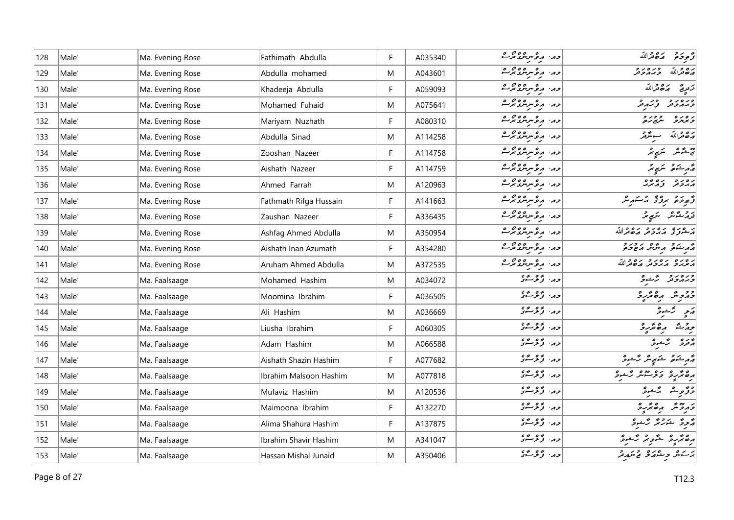| 128 | Male' | Ma. Evening Rose | Fathimath Abdulla      | F  | A035340 | בו הפיתיית בים                | قرجوحته وكالحدالله                                                |
|-----|-------|------------------|------------------------|----|---------|-------------------------------|-------------------------------------------------------------------|
| 129 | Male' | Ma. Evening Rose | Abdulla mohamed        | M  | A043601 | در. روسره ده می               | پر <b>ص</b> حرالله<br>و ره ر و<br><i>د ب</i> رگرمر                |
| 130 | Male' | Ma. Evening Rose | Khadeeja Abdulla       | F  | A059093 | حەر بەھ سر سىمى مى            | ت <b>َ</b> مِيعًا 1, 20\$ اللّه                                   |
| 131 | Male' | Ma. Evening Rose | Mohamed Fuhaid         | M  | A075641 | בו ופיתיישיב                  | ورەرو ور<br>وبرماوتر ۋرماتر                                       |
| 132 | Male' | Ma. Evening Rose | Mariyam Nuzhath        | F  | A080310 | בו ופיתייפיבים                | ر ه ر ه<br><del>ر</del> بربرگ<br>پر دیر د<br>سرچ ر <sub>ک</sub> و |
| 133 | Male' | Ma. Evening Rose | Abdulla Sinad          | M  | A114258 | دړ٠ روسرمرو ک <u>ړه</u>       | ەھىراللە<br>سەمئرىر                                               |
| 134 | Male' | Ma. Evening Rose | Zooshan Nazeer         | F. | A114758 | حەر بەھ سرچى تەرج             | يېشتر سرېږ تر                                                     |
| 135 | Male' | Ma. Evening Rose | Aishath Nazeer         | F  | A114759 | בו הפיתיית בים                | أقهر مشكرة التكريج تمر                                            |
| 136 | Male' | Ma. Evening Rose | Ahmed Farrah           | M  | A120963 | حەر بەھ سەھ ئەتى              | رەر دەپە                                                          |
| 137 | Male' | Ma. Evening Rose | Fathmath Rifga Hussain | F  | A141663 | בו ופיתייפים                  | قەدىر بروق جاسكەنگ                                                |
| 138 | Male' | Ma. Evening Rose | Zaushan Nazeer         | F. | A336435 | در. رؤسرهومر <sub>م</sub>     | نر جر شهر مشر سر سر سر سر به سر                                   |
| 139 | Male' | Ma. Evening Rose | Ashfag Ahmed Abdulla   | M  | A350954 | בו ופיתיישבים                 | بر وره برورد بره دالله                                            |
| 140 | Male' | Ma. Evening Rose | Aishath Inan Azumath   | F. | A354280 | حەر بەھ سرچى <sub>مى</sub> مى | وأمر يشكم المرسر المتحافر والملح                                  |
| 141 | Male' | Ma. Evening Rose | Aruham Ahmed Abdulla   | M  | A372535 | در. روسرچرے<br>در             | ره ره رورد ره دالله                                               |
| 142 | Male' | Ma. Faalsaage    | Mohamed Hashim         | M  | A034072 | وړ گوري                       | ورەر و شەۋ                                                        |
| 143 | Male' | Ma. Faalsaage    | Moomina Ibrahim        | F  | A036505 | وړ گوري                       |                                                                   |
| 144 | Male' | Ma. Faalsaage    | Ali Hashim             | M  | A036669 | وړ٠ ژوگړي                     | پر پر گروگر                                                       |
| 145 | Male' | Ma. Faalsaage    | Liusha Ibrahim         | F. | A060305 | وړ گوري                       | درجش رەئزىر                                                       |
| 146 | Male' | Ma. Faalsaage    | Adam Hashim            | M  | A066588 | وړ گوري                       | پر ده گرشو و                                                      |
| 147 | Male' | Ma. Faalsaage    | Aishath Shazin Hashim  | F  | A077682 | وە . ۋوشى                     | أقهر مشكر مشكو متشور                                              |
| 148 | Male' | Ma. Faalsaage    | Ibrahim Malsoon Hashim | M  | A077818 | وړ گوري                       | رەپرى <sub>ر</sub> و <sub>ك</sub> ورىيە ئ <sub>ىشو</sub> ۋ        |
| 149 | Male' | Ma. Faalsaage    | Mufaviz Hashim         | M  | A120536 | وړ ژوندي                      | وژوے پڑےو                                                         |
| 150 | Male' | Ma. Faalsaage    | Maimoona Ibrahim       | F  | A132270 | وړ گوري                       | בתכית תפתיב                                                       |
| 151 | Male' | Ma. Faalsaage    | Alima Shahura Hashim   | F  | A137875 | وە . ۋورى                     | ە ئەڭ ئىكەنگە گەندۇ                                               |
| 152 | Male' | Ma. Faalsaage    | Ibrahim Shavir Hashim  | M  | A341047 | وړ گوري                       | ړەترىرو ھۇم تر شوۋ                                                |
| 153 | Male' | Ma. Faalsaage    | Hassan Mishal Junaid   | M  | A350406 | وړ٠ وگرگړي                    | يُرْسَوْشُ وِحْدُوْ وَسَمْدِيْرُ                                  |
|     |       |                  |                        |    |         |                               |                                                                   |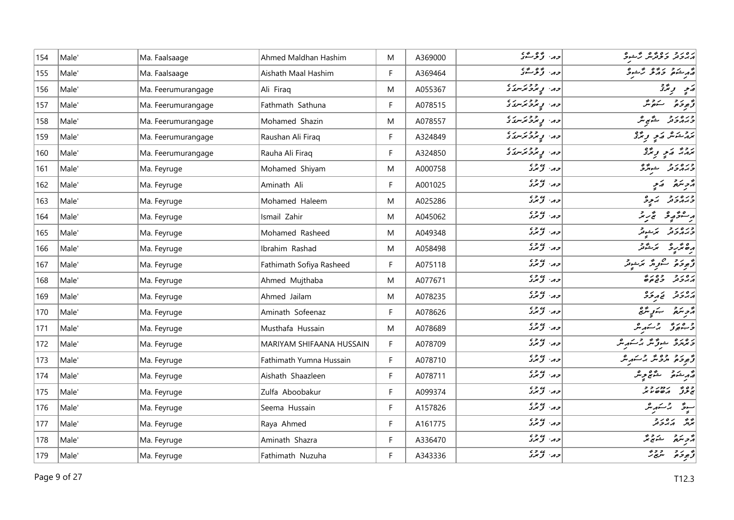| 154 | Male' | Ma. Faalsaage      | Ahmed Maldhan Hashim     | M           | A369000 | دړ٠ توگوستنۍ                 | رەر د رەپەر گىدۇ                                                                                  |
|-----|-------|--------------------|--------------------------|-------------|---------|------------------------------|---------------------------------------------------------------------------------------------------|
| 155 | Male' | Ma. Faalsaage      | Aishath Maal Hashim      | F           | A369464 | دە. ئۇرمىمى                  | $\frac{1}{2}$ $\frac{1}{2}$ $\frac{1}{2}$ $\frac{1}{2}$ $\frac{1}{2}$ $\frac{1}{2}$ $\frac{1}{2}$ |
| 156 | Male' | Ma. Feerumurangage | Ali Firaq                | ${\sf M}$   | A055367 | دړ. ، په ترو ټرسرۍ کا        | أرشمي ويرتج                                                                                       |
| 157 | Male' | Ma. Feerumurangage | Fathmath Sathuna         | $\mathsf F$ | A078515 | دړ. و پروبرسرۍ               | و دو دول                                                                                          |
| 158 | Male' | Ma. Feerumurangage | Mohamed Shazin           | M           | A078557 | כו נָ זְבְרַזְאינג'          | ورەرو شەپ                                                                                         |
| 159 | Male' | Ma. Feerumurangage | Raushan Ali Firaq        | $\mathsf F$ | A324849 | در و پروټرسري                | برزختير كابو وبرده                                                                                |
| 160 | Male' | Ma. Feerumurangage | Rauha Ali Firaq          | F           | A324850 | حەر، ئ <sub>ۇ</sub> تروترسرى | برود كالمجمع ويرو                                                                                 |
| 161 | Male' | Ma. Feyruge        | Mohamed Shiyam           | M           | A000758 | در بی و ،<br>ور کو بور       | وره رو شوده<br><i>وب</i> رمرو شودگر                                                               |
| 162 | Male' | Ma. Feyruge        | Aminath Ali              | F           | A001025 | وړ٠ تو بر د<br>وړ٠ تو برو    | أزوينهم أرو                                                                                       |
| 163 | Male' | Ma. Feyruge        | Mohamed Haleem           | M           | A025286 | وړ٠ تؤبری<br>وړ٠ تؤبری       | ورور و دو                                                                                         |
| 164 | Male' | Ma. Feyruge        | Ismail Zahir             | M           | A045062 | وړ٠ تؤبری<br>وړ٠ تؤبری       | ر شۇرۇ ئى بار                                                                                     |
| 165 | Male' | Ma. Feyruge        | Mohamed Rasheed          | M           | A049348 | در بی و ،<br>ور کو بور       | ورەرو كەنبەتى                                                                                     |
| 166 | Male' | Ma. Feyruge        | Ibrahim Rashad           | M           | A058498 | و د کو ده<br>و د کو مرد      | رە ئرىر ئىشتى                                                                                     |
| 167 | Male' | Ma. Feyruge        | Fathimath Sofiya Rasheed | $\mathsf F$ | A075118 | ده کو برد<br>ده گ            | و و د د هم و مر مر مورد                                                                           |
| 168 | Male' | Ma. Feyruge        | Ahmed Mujthaba           | M           | A077671 | وړ٠ تو بری<br>وړ٠ تو بری     | י סיכון פסיי<br>הייכניו כבופים                                                                    |
| 169 | Male' | Ma. Feyruge        | Ahmed Jailam             | ${\sf M}$   | A078235 | و د.<br>و د. تو بو د         | أبرورو فيهدموه                                                                                    |
| 170 | Male' | Ma. Feyruge        | Aminath Sofeenaz         | F.          | A078626 | در بی د ،<br>در توس          | أزويني كالمنابيث                                                                                  |
| 171 | Male' | Ma. Feyruge        | Musthafa Hussain         | M           | A078689 | ے وہ<br>وہ و مرد             | و ەرە بېرىش                                                                                       |
| 172 | Male' | Ma. Feyruge        | MARIYAM SHIFAANA HUSSAIN | $\mathsf F$ | A078709 | وړ . نوم ده                  | ו 2010 בנית הבות ה                                                                                |
| 173 | Male' | Ma. Feyruge        | Fathimath Yumna Hussain  | $\mathsf F$ | A078710 | وړ به وه                     | و د د ده و د کره                                                                                  |
| 174 | Male' | Ma. Feyruge        | Aishath Shaazleen        | $\mathsf F$ | A078711 | ده و ده<br>ده گرمرد          | أقهر مشكرة المشتم وينكر                                                                           |
| 175 | Male' | Ma. Feyruge        | Zulfa Aboobakur          | F.          | A099374 | وړ٠ تو بری<br>وړ٠ تو بری     | 2272222222                                                                                        |
| 176 | Male' | Ma. Feyruge        | Seema Hussain            | $\mathsf F$ | A157826 | و د.<br>و د. تو بو د         | سوڅ پر شمېر شر                                                                                    |
| 177 | Male' | Ma. Feyruge        | Raya Ahmed               | F.          | A161775 | ے وہ سی وہ<br>حمد ستی محری   | پژو در در د                                                                                       |
| 178 | Male' | Ma. Feyruge        | Aminath Shazra           | F.          | A336470 | وړ٠ تومر <i>ی</i>            | أزويتهم فيتمر                                                                                     |
| 179 | Male' | Ma. Feyruge        | Fathimath Nuzuha         | F           | A343336 | ده و ده<br>ده گرمرد          | ژُهِ دَمَ " سرچ رُ                                                                                |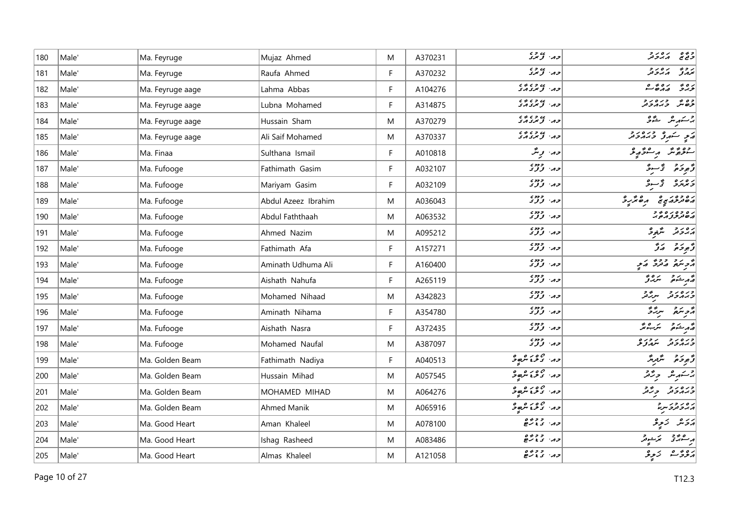| 180 | Male' | Ma. Feyruge      | Mujaz Ahmed         | M           | A370231 | و د کو ده<br>و د کو مرد            | برە ئەتە<br>  و پر ہ<br>  <del>ر</del> قع                       |
|-----|-------|------------------|---------------------|-------------|---------|------------------------------------|-----------------------------------------------------------------|
| 181 | Male' | Ma. Feyruge      | Raufa Ahmed         | F           | A370232 | و د.<br>و د. گو بود                | بروي<br>ەر ئەر                                                  |
| 182 | Male' | Ma. Feyruge aage | Lahma Abbas         | $\mathsf F$ | A104276 | ں و ، و ، و<br>وہ کو بو پر پ       | تزریح<br>2522                                                   |
| 183 | Male' | Ma. Feyruge aage | Lubna Mohamed       | F           | A314875 | ن و ، د ، د ،<br>و ۱۸ . تو مورد او | ترە ش<br>و ره ر د<br><i>د ب</i> رگرفر                           |
| 184 | Male' | Ma. Feyruge aage | Hussain Sham        | M           | A370279 | ن و ، د ، د ،<br>و ۱۸ . ق مورد او  | جر ڪمبر شريع عشو                                                |
| 185 | Male' | Ma. Feyruge aage | Ali Saif Mohamed    | M           | A370337 | ں و ، و ، و<br>وہ کو بو پر د م     | ړی کرو وره ده                                                   |
| 186 | Male' | Ma. Finaa        | Sulthana Ismail     | F           | A010818 | دە. بەش                            | يەدە ئەربەدە                                                    |
| 187 | Male' | Ma. Fufooge      | Fathimath Gasim     | $\mathsf F$ | A032107 | و در دوه<br>ور کوک                 | أَوْجِعَةٍ حَمْدٍ وَمَسِيرًا                                    |
| 188 | Male' | Ma. Fufooge      | Mariyam Gasim       | F           | A032109 | و در دوه<br>در وود                 | رەرە ئۆسۈ                                                       |
| 189 | Male' | Ma. Fufooge      | Abdul Azeez Ibrahim | M           | A036043 | و دره ده.<br>د د تونو د            | גפננגם הפיניק                                                   |
| 190 | Male' | Ma. Fufooge      | Abdul Faththaah     | M           | A063532 | ود. ودو،<br>ود وود                 | ر ه د ه ر ه د د<br>پره تر تر تر چرب                             |
| 191 | Male' | Ma. Fufooge      | Ahmed Nazim         | M           | A095212 | و در دوه<br>ور کوک                 | برەر ئە ئىگەنج                                                  |
| 192 | Male' | Ma. Fufooge      | Fathimath Afa       | F           | A157271 | و در دوه<br>ور از ز                | وٌ و دو گروٌ                                                    |
| 193 | Male' | Ma. Fufooge      | Aminath Udhuma Ali  | $\mathsf F$ | A160400 | כו. צובי                           | ה ב יים היים הי                                                 |
| 194 | Male' | Ma. Fufooge      | Aishath Nahufa      | F           | A265119 | و دره ده.<br>د د تونو د            | و دره ده و د                                                    |
| 195 | Male' | Ma. Fufooge      | Mohamed Nihaad      | M           | A342823 | و در دوه<br>در وود                 | ورەرو سرگەر<br><mark>جەم</mark> ەدىر سرگەر                      |
| 196 | Male' | Ma. Fufooge      | Aminath Nihama      | F.          | A354780 | و در دوه<br>ور از ز                | أأروبتهم البرائر                                                |
| 197 | Male' | Ma. Fufooge      | Aishath Nasra       | F           | A372435 | و در دوه<br>ور از ز                | ر<br><i>مار خوي سرب مار</i>                                     |
| 198 | Male' | Ma. Fufooge      | Mohamed Naufal      | M           | A387097 | و در دوه<br>ور کوک                 | ورەرو بەدرە<br>چەمەدىر شمەۋىر                                   |
| 199 | Male' | Ma. Golden Beam  | Fathimath Nadiya    | $\mathsf F$ | A040513 | ورسي وره وه                        | ۇيودۇ ئىرىر                                                     |
| 200 | Male' | Ma. Golden Beam  | Hussain Mihad       | M           | A057545 | כו. בכשיתים כ                      | برسكر شرور ورثتر                                                |
| 201 | Male' | Ma. Golden Beam  | MOHAMED MIHAD       | M           | A064276 | 50, 200, 100                       | ورەر دېگر                                                       |
| 202 | Male' | Ma. Golden Beam  | <b>Ahmed Manik</b>  | M           | A065916 | ورسي وره وه                        | ر ہ ر د ر<br>ג ژ ژ تر ژ سربا                                    |
| 203 | Male' | Ma. Good Heart   | Aman Khaleel        | M           | A078100 | $e^{399}$ . 12                     | پرَ چَر کا پایتون کا پایتون کا م                                |
| 204 | Male' | Ma. Good Heart   | Ishag Rasheed       | M           | A083486 | وړ٠ وولو <b>ه</b>                  | ر مشرح كرم بر من المراكز<br>مراكز كرم كرم كرم كرد بر من المراكز |
| 205 | Male' | Ma. Good Heart   | Almas Khaleel       | M           | A121058 | $e^{397}$ . 12                     | ړوو و زرو                                                       |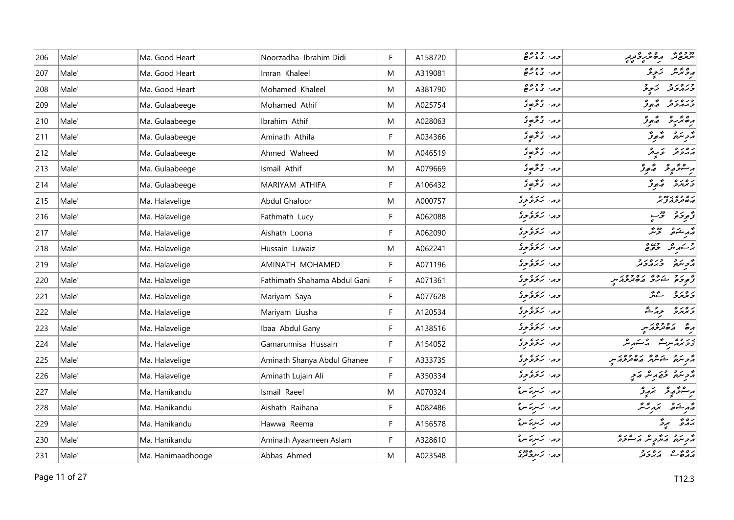| 206 | Male' | Ma. Good Heart    | Noorzadha Ibrahim Didi       | F.          | A158720 | $e^{299}$ : 12               | מי הרב הפית הפתח                    |
|-----|-------|-------------------|------------------------------|-------------|---------|------------------------------|-------------------------------------|
| 207 | Male' | Ma. Good Heart    | Imran Khaleel                | M           | A319081 | و در ۱۶۶<br>حداد کالم        | ەر ئەر ئىر                          |
| 208 | Male' | Ma. Good Heart    | Mohamed Khaleel              | M           | A381790 | ود کا دون<br>حد کا رقع       | و ر ه ر د<br>تر بر تر تر            |
| 209 | Male' | Ma. Gulaabeege    | Mohamed Athif                | M           | A025754 | وړ٠ وگړه و                   | رحمي و<br>و ر ه ر د<br>و بر پر و تر |
| 210 | Male' | Ma. Gulaabeege    | Ibrahim Athif                | M           | A028063 | وړ٠ د څوه د                  | وشعجو فر<br>ەر ھەتمەر 2<br>ر        |
| 211 | Male' | Ma. Gulaabeege    | Aminath Athifa               | $\mathsf F$ | A034366 | وړ٠ وگړ <i>ي</i><br>دړ٠ وگړي | ړې سره په پورته                     |
| 212 | Male' | Ma. Gulaabeege    | Ahmed Waheed                 | M           | A046519 | وړ٠ د څوه د                  | رەر دىر دىگر                        |
| 213 | Male' | Ma. Gulaabeege    | Ismail Athif                 | M           | A079669 | $\frac{1}{2}$                | ېر شو <i>ځې</i> و گمپور             |
| 214 | Male' | Ma. Gulaabeege    | MARIYAM ATHIFA               | F.          | A106432 | در گروگو                     | دەرە ئەۋ                            |
| 215 | Male' | Ma. Halavelige    | Abdul Ghafoor                | M           | A000757 | وړ رکوکونونۍ                 | ر ه د ه د دد د<br>پره تر پر تر بر   |
| 216 | Male' | Ma. Halavelige    | Fathmath Lucy                | F           | A062088 | وړ رکوکونونۍ                 | ۇ بۇ دۇسىيە                         |
| 217 | Male' | Ma. Halavelige    | Aishath Loona                | F           | A062090 | وړې کوکوکوکو                 | ړ ده ده ده.                         |
| 218 | Male' | Ma. Halavelige    | Hussain Luwaiz               | M           | A062241 | وە ئەتكەنى                   | جر شهر شهر ج                        |
| 219 | Male' | Ma. Halavelige    | AMINATH MOHAMED              | $\mathsf F$ | A071196 | وە . ئەقرۇرى<br>مە           | و ده وره ده                         |
| 220 | Male' | Ma. Halavelige    | Fathimath Shahama Abdul Gani | F           | A071361 | وړ رکوکونونو                 | و دو شرکو ده دور                    |
| 221 | Male' | Ma. Halavelige    | Mariyam Saya                 | $\mathsf F$ | A077628 | دە. ئۆۋۈپ                    | رەرە شەر                            |
| 222 | Male' | Ma. Halavelige    | Mariyam Liusha               | F.          | A120534 | وړ رکوکولونۍ                 | وبرده ودش                           |
| 223 | Male' | Ma. Halavelige    | Ibaa Abdul Gany              | $\mathsf F$ | A138516 | در رکوکورگا                  | دة دەدەنىر                          |
| 224 | Male' | Ma. Halavelige    | Gamarunnisa Hussain          | F           | A154052 | دە. ئۇۋۈرگ                   | ر ده مرت بر کرد.                    |
| 225 | Male' | Ma. Halavelige    | Aminath Shanya Abdul Ghanee  | F           | A333735 | دە ئەزەمبە                   | פ ני גם מסיפרית                     |
| 226 | Male' | Ma. Halavelige    | Aminath Lujain Ali           | F.          | A350334 | وړ رکوکونونۍ                 | أوسم وفارش أيا                      |
| 227 | Male' | Ma. Hanikandu     | Ismail Raeef                 | M           | A070324 | وە بە ئەس <i>ەن</i> مە       | وڪوڻي تمدي                          |
| 228 | Male' | Ma. Hanikandu     | Aishath Raihana              | F           | A082486 | حدرا كالبرماسي               | د.<br>در شوه مرد شد                 |
| 229 | Male' | Ma. Hanikandu     | Hawwa Reema                  | F.          | A156578 | حدر سنبر ماسيم المعنى        | ره و بردً                           |
| 230 | Male' | Ma. Hanikandu     | Aminath Ayaameen Aslam       | F           | A328610 | در. رئيرمذمندمج              | ו הוד הוד ם הם הם בים               |
| 231 | Male' | Ma. Hanimaadhooge | Abbas Ahmed                  | M           | A023548 | وړ٠ رسرچين                   | رەپ رەرد                            |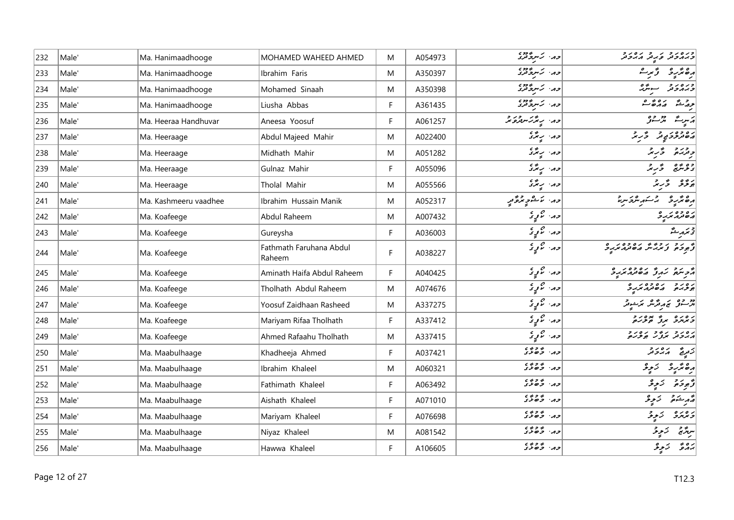| 232 | Male' | Ma. Hanimaadhooge     | MOHAMED WAHEED AHMED              | M           | A054973 | در ۷۰۰۰ کرده                | ورەر دېر دېر ده.<br>دېرمردنر کېږمر کېردنر        |
|-----|-------|-----------------------|-----------------------------------|-------------|---------|-----------------------------|--------------------------------------------------|
| 233 | Male' | Ma. Hanimaadhooge     | Ibrahim Faris                     | M           | A350397 | وړ ۱۰ کرسروسی               | ۇ ئىرىشە<br>ىر ھەتئە پەر<br>س                    |
| 234 | Male' | Ma. Hanimaadhooge     | Mohamed Sinaah                    | M           | A350398 | وړ٠ رکېږووي<br>وړ٠ رکېږونږي | و ر ه ر د<br><i>و پر پر</i> وتر<br>سەمئرىر       |
| 235 | Male' | Ma. Hanimaadhooge     | Liusha Abbas                      | F           | A361435 | وړ٠ زمېږ <i>وده</i>         | رەپچە<br>ا وړ شه                                 |
| 236 | Male' | Ma. Heeraa Handhuvar  | Aneesa Yoosuf                     | F           | A061257 | دە. بەتەئىرىدىگە            | ړَسٍتَ پره دو                                    |
| 237 | Male' | Ma. Heeraage          | Abdul Majeed Mahir                | M           | A022400 | حەر سەتتى<br>مەسىر          | ره وه رو و و د                                   |
| 238 | Male' | Ma. Heeraage          | Midhath Mahir                     | M           | A051282 | وړ٠ ريگري<br>در             | وقربرة ومرتز                                     |
| 239 | Male' | Ma. Heeraage          | Gulnaz Mahir                      | F           | A055096 | وړ٠ ريره<br>ور٠ ريره        | د و پژه<br>د تر سرچ                              |
| 240 | Male' | Ma. Heeraage          | Tholal Mahir                      | M           | A055566 | وړ٠ ريزه<br>در٠ ريزه        | بروه وحرار                                       |
| 241 | Male' | Ma. Kashmeeru vaadhee | Ibrahim Hussain Manik             | M           | A052317 | در بر عشوچ پره در           | جر سکور ملکو شرید<br>ەرھەترىر <sup>ە</sup>       |
| 242 | Male' | Ma. Koafeege          | Abdul Raheem                      | M           | A007432 | حەر، سىمى ئى                | ره وه د بر<br> ه ه تر بر بر د                    |
| 243 | Male' | Ma. Koafeege          | Gureysha                          | $\mathsf F$ | A036003 | حەر، گۇ ي                   | چ ئر <sub>مر</sub> ڪُ<br>ح                       |
| 244 | Male' | Ma. Koafeege          | Fathmath Faruhana Abdul<br>Raheem | F           | A038227 | حەر. ئۇرى                   | ه د د د ده به ده ده د ه<br>ژوره زیربس ماه مدیربر |
| 245 | Male' | Ma. Koafeege          | Aminath Haifa Abdul Raheem        | E           | A040425 | حەربى ئۇيچ                  | הקיים הגן הסינה בין                              |
| 246 | Male' | Ma. Koafeege          | Tholhath Abdul Raheem             | M           | A074676 | حەر، سىمى ئى                | נפנד נפרסנים                                     |
| 247 | Male' | Ma. Koafeege          | Yoosuf Zaidhaan Rasheed           | M           | A337275 | حەر . مۇ يى<br>جەر . مۇ يى  | ر دوم تارگر مر مرد بود.<br>مراج مرکز مر          |
| 248 | Male' | Ma. Koafeege          | Mariyam Rifaa Tholhath            | $\mathsf F$ | A337412 | حەر، سىمى ئى                | ر ورو برو برور د<br>د بربرد برو و در و           |
| 249 | Male' | Ma. Koafeege          | Ahmed Rafaahu Tholhath            | M           | A337415 | حەر، ئۇي <sub>د</sub> ى     | נ סניב נישיב נסניב<br>ההבת תצנה היבנים           |
| 250 | Male' | Ma. Maabulhaage       | Khadheeja Ahmed                   | F           | A037421 | و در پروره<br>و در گوه نوی  | زمریح پره رو                                     |
| 251 | Male' | Ma. Maabulhaage       | Ibrahim Khaleel                   | M           | A060321 | و در پروه<br>ور۰ وګ         | ړەندېرو دېږو                                     |
| 252 | Male' | Ma. Maabulhaage       | Fathimath Khaleel                 | F           | A063492 | و در پروه<br>ور۰ وګ         | وً وَوَفَرَ زَرِوْ                               |
| 253 | Male' | Ma. Maabulhaage       | Aishath Khaleel                   | F           | A071010 | و در پروه<br>ور۰ وګ         | أقهر خنفى التامج فحر                             |
| 254 | Male' | Ma. Maabulhaage       | Mariyam Khaleel                   | F           | A076698 | و در پره ده<br>ور کوه دی    | ر ه ر ه<br>تر بر بر<br>تزموقر                    |
| 255 | Male' | Ma. Maabulhaage       | Niyaz Khaleel                     | M           | A081542 | و در پرون<br>وړ گونون       | سرمرمج<br>تزوِقر                                 |
| 256 | Male' | Ma. Maabulhaage       | Hawwa Khaleel                     | F           | A106605 | و در پرون<br>وړ گونون       | رەپ زىرو                                         |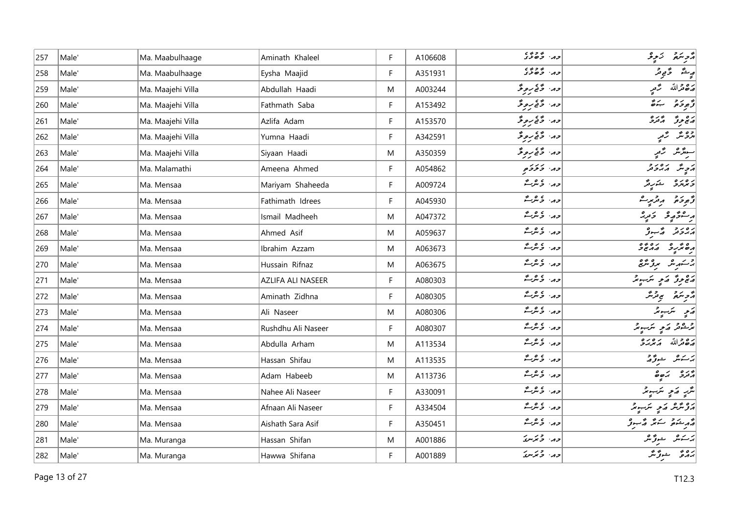| 257 | Male' | Ma. Maabulhaage   | Aminath Khaleel    | $\mathsf F$ | A106608 | و در پروه<br>ور۰ وګور     | أرمح مترهج<br>تزودى                                                                                                                   |
|-----|-------|-------------------|--------------------|-------------|---------|---------------------------|---------------------------------------------------------------------------------------------------------------------------------------|
| 258 | Male' | Ma. Maabulhaage   | Eysha Maajid       | $\mathsf F$ | A351931 | و در پروه<br>ور۰ وګور     | ريش گوينر<br>پ                                                                                                                        |
| 259 | Male' | Ma. Maajehi Villa | Abdullah Haadi     | M           | A003244 | وړې د ځځ رو ځ             | 2025 الله<br>ر<br>ر                                                                                                                   |
| 260 | Male' | Ma. Maajehi Villa | Fathmath Saba      | F           | A153492 | وړ د ځ ځا رونځ            | $\stackrel{\scriptscriptstyle\circ}{\scriptscriptstyle\circ}\stackrel{\scriptscriptstyle\circ}{\scriptscriptstyle\circ}-$<br>ومجموحهم |
| 261 | Male' | Ma. Maajehi Villa | Azlifa Adam        | $\mathsf F$ | A153570 | دە: دۇن <sub>مو</sub> دۇ  | ر ه چ <sub>حر</sub> وً<br>پر ہ<br>مرمرو                                                                                               |
| 262 | Male' | Ma. Maajehi Villa | Yumna Haadi        | F           | A342591 | وړې د د ځي مرو د          | دە ئەر<br>مەد ئىر                                                                                                                     |
| 263 | Male' | Ma. Maajehi Villa | Siyaan Haadi       | M           | A350359 | دە. ئۇي <sub>مب</sub> وئۇ | سورش رمحمي                                                                                                                            |
| 264 | Male' | Ma. Malamathi     | Ameena Ahmed       | $\mathsf F$ | A054862 | دە ئەقەئىمى               | أرَحٍ شَرِ أَمَدَ حَرَ مَرْ                                                                                                           |
| 265 | Male' | Ma. Mensaa        | Mariyam Shaheeda   | F           | A009724 | ور. ڈیڑٹ                  | و حدود الشور محمد محمد المحمد                                                                                                         |
| 266 | Male' | Ma. Mensaa        | Fathimath Idrees   | F           | A045930 | وړ کې شرگ                 | أرموحا والترميث                                                                                                                       |
| 267 | Male' | Ma. Mensaa        | Ismail Madheeh     | M           | A047372 | وړ٠ وګرگ                  | وڪوڻي وڻي                                                                                                                             |
| 268 | Male' | Ma. Mensaa        | Ahmed Asif         | M           | A059637 | وړ و شر                   | رەرد ئەب                                                                                                                              |
| 269 | Male' | Ma. Mensaa        | Ibrahim Azzam      | M           | A063673 | وړ ویږگ                   | 0.601<br>ەر ھەتمەر 2<br>ب                                                                                                             |
| 270 | Male' | Ma. Mensaa        | Hussain Rifnaz     | M           | A063675 | دە. ئەشرىشە               | برسكريش برويتي                                                                                                                        |
| 271 | Male' | Ma. Mensaa        | AZLIFA ALI NASEER  | F           | A080303 | وړ و ترته                 | معج ووٌ مَعٍ مَن الله عليه الله                                                                                                       |
| 272 | Male' | Ma. Mensaa        | Aminath Zidhna     | F           | A080305 | وړ٠ وګرگ                  | ە<br>مەرسىم ئىقرىتى                                                                                                                   |
| 273 | Male' | Ma. Mensaa        | Ali Naseer         | M           | A080306 | وړ ویږگ                   | أوكمني المتراسية                                                                                                                      |
| 274 | Male' | Ma. Mensaa        | Rushdhu Ali Naseer | F           | A080307 | وړ٠ وګرگ                  | برحور كالمح الكرسوبر                                                                                                                  |
| 275 | Male' | Ma. Mensaa        | Abdulla Arham      | M           | A113534 | وړ٠ وګرگ                  | مَدَّدَ اللَّهُ مَعْهُدَة                                                                                                             |
| 276 | Male' | Ma. Mensaa        | Hassan Shifau      | M           | A113535 | وړ ویږگ                   | ىر كەش سەۋەر                                                                                                                          |
| 277 | Male' | Ma. Mensaa        | Adam Habeeb        | M           | A113736 | وړ٠ وګرگ                  | ړو په ده                                                                                                                              |
| 278 | Male' | Ma. Mensaa        | Nahee Ali Naseer   | F           | A330091 | وړ و شر                   | أثريا أوالمج الكرسوند                                                                                                                 |
| 279 | Male' | Ma. Mensaa        | Afnaan Ali Naseer  | $\mathsf F$ | A334504 | وړ٠ وګرگ                  | روموه رَمِ سَبِ                                                                                                                       |
| 280 | Male' | Ma. Mensaa        | Aishath Sara Asif  | F           | A350451 | وړ٠ وګرگ                  | ە ئەستىم سىر ئەسىر                                                                                                                    |
| 281 | Male' | Ma. Muranga       | Hassan Shifan      | M           | A001886 | وړ و ترس                  | ىزىكىش ھوۋىش                                                                                                                          |
| 282 | Male' | Ma. Muranga       | Hawwa Shifana      | $\mathsf F$ | A001889 | בני ביניינג'              | رە ئەرگە                                                                                                                              |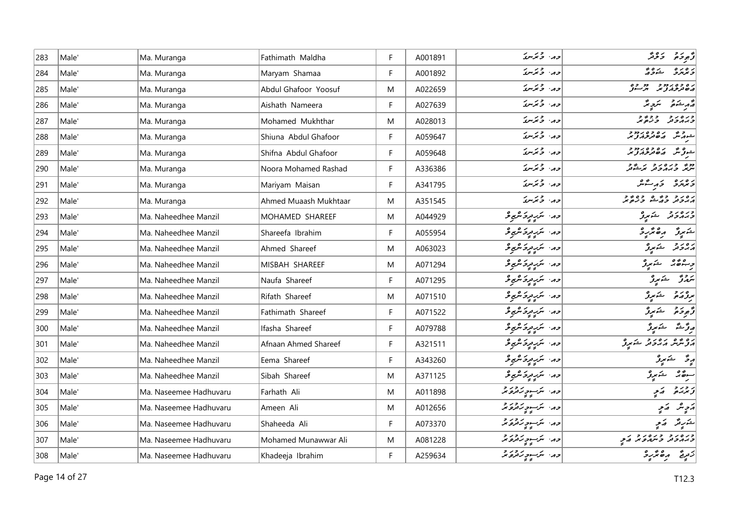| 283 | Male' | Ma. Muranga            | Fathimath Maldha      | F           | A001891 | בו ביציע                              | أزَّبِوحَمْ وَوْمَرْ                                                                                                                                                                                                            |
|-----|-------|------------------------|-----------------------|-------------|---------|---------------------------------------|---------------------------------------------------------------------------------------------------------------------------------------------------------------------------------------------------------------------------------|
| 284 | Male' | Ma. Muranga            | Maryam Shamaa         | F           | A001892 | בו ביציע                              | ره ره ده ۶<br><del>د ب</del> ربرو شو <i>د</i> پر                                                                                                                                                                                |
| 285 | Male' | Ma. Muranga            | Abdul Ghafoor Yoosuf  | M           | A022659 | בו בציע                               | ره כه ردد כ دو כه<br>הه تر د فر د سر                                                                                                                                                                                            |
| 286 | Male' | Ma. Muranga            | Aishath Nameera       | F           | A027639 | ور وترس                               | أقهر مشكرة المسترجنكم                                                                                                                                                                                                           |
| 287 | Male' | Ma. Muranga            | Mohamed Mukhthar      | M           | A028013 | בו בציע                               | כנסנכ ככשב<br><i>כא</i> מכנ <sub>ע</sub> כלס <sub>ב</sub>                                                                                                                                                                       |
| 288 | Male' | Ma. Muranga            | Shiuna Abdul Ghafoor  | F           | A059647 | בו במיש                               | و در دور دور<br>شهرس مان در در د                                                                                                                                                                                                |
| 289 | Male' | Ma. Muranga            | Shifna Abdul Ghafoor  | $\mathsf F$ | A059648 | בני ביציע                             | شوژنگر بره ده دود د<br>شوژنگر بر <i>ه در در و</i> بر                                                                                                                                                                            |
| 290 | Male' | Ma. Muranga            | Noora Mohamed Rashad  | F           | A336386 | בו בציע                               | ووه او دره دارد از مرکز برگزار<br>سرپس و برابروتن ابراتشون                                                                                                                                                                      |
| 291 | Male' | Ma. Muranga            | Mariyam Maisan        | F           | A341795 | בו בימיש                              | ג פיני בן בילייל                                                                                                                                                                                                                |
| 292 | Male' | Ma. Muranga            | Ahmed Muaash Mukhtaar | M           | A351545 | בו בציע                               | ره رو وي وه پوو<br>پرېدنر وړې ونږي                                                                                                                                                                                              |
| 293 | Male' | Ma. Naheedhee Manzil   | MOHAMED SHAREEF       | M           | A044929 | دە. سەرپەرىجەمىرى                     | ورەرو شەرو                                                                                                                                                                                                                      |
| 294 | Male' | Ma. Naheedhee Manzil   | Shareefa Ibrahim      | $\mathsf F$ | A055954 | دە. سىرپېرى ئىبى ئى                   | شەببەر مەھترىدۇ                                                                                                                                                                                                                 |
| 295 | Male' | Ma. Naheedhee Manzil   | Ahmed Shareef         | M           | A063023 | دە · ئېزىرچە ئىبو ق                   | ړه رو شمېرو                                                                                                                                                                                                                     |
| 296 | Male' | Ma. Naheedhee Manzil   | MISBAH SHAREEF        | M           | A071294 | ا <i>وه سرمرمرد شه</i> ود<br>مستقطع م | وجوه شريرو                                                                                                                                                                                                                      |
| 297 | Male' | Ma. Naheedhee Manzil   | Naufa Shareef         | F           | A071295 | دە. سىرپېرى مىنجى ئى                  | <i>سَمَرُوَّ ڪَمِرِوْ</i>                                                                                                                                                                                                       |
| 298 | Male' | Ma. Naheedhee Manzil   | Rifath Shareef        | M           | A071510 | دە. سىر موڭرىمبوڭ                     | برودة والمتعمر                                                                                                                                                                                                                  |
| 299 | Male' | Ma. Naheedhee Manzil   | Fathimath Shareef     | F           | A071522 | دە. سىر موچ مىنى پى                   | ۇمۇمۇ شېرۇ                                                                                                                                                                                                                      |
| 300 | Male' | Ma. Naheedhee Manzil   | Ifasha Shareef        | F           | A079788 | دە. سەرپەترىمىي ئى                    | رۇڭ شىرۇ                                                                                                                                                                                                                        |
| 301 | Male' | Ma. Naheedhee Manzil   | Afnaan Ahmed Shareef  | F           | A321511 | دە. سەرپەترىمىي ئى                    | ره و ده د در د به مندار و در در کاربرد در در استان برای برای با در این کاربرد که با در این کاربرد که با در این<br>مرکز میزبانی با در این کاربرد که با در این کاربرد که با در این کاربرد که با در این کاربرد که با در این کاربرد |
| 302 | Male' | Ma. Naheedhee Manzil   | Eema Shareef          | $\mathsf F$ | A343260 | دە. - سَرپەت شەغ                      | رد شمېرو<br>د                                                                                                                                                                                                                   |
| 303 | Male' | Ma. Naheedhee Manzil   | Sibah Shareef         | M           | A371125 | ى <i>مىسترىپوچىگىنجى</i> گە           | مي مشرح<br>سو <i>ھائي ڪو</i> يوڙ                                                                                                                                                                                                |
| 304 | Male' | Ma. Naseemee Hadhuvaru | Farhath Ali           | M           | A011898 | <i>دە. سۇسىي ئى</i> رەمۇمە            | ترور و مرمو                                                                                                                                                                                                                     |
| 305 | Male' | Ma. Naseemee Hadhuvaru | Ameen Ali             | M           | A012656 | دړ٠ سر سوپر تده تد                    | أركب المركب                                                                                                                                                                                                                     |
| 306 | Male' | Ma. Naseemee Hadhuvaru | Shaheeda Ali          | F           | A073370 | دە. سەسىي ئەترە ئە                    | شَرِيرٌ - رَمِ                                                                                                                                                                                                                  |
| 307 | Male' | Ma. Naseemee Hadhuvaru | Mohamed Munawwar Ali  | M           | A081228 | دە. ئېزىسوپرىدۇند                     |                                                                                                                                                                                                                                 |
| 308 | Male' | Ma. Naseemee Hadhuvaru | Khadeeja Ibrahim      | F           | A259634 | دړ٠ سر سوپر ته در و                   | كتبيعًا ومصرية                                                                                                                                                                                                                  |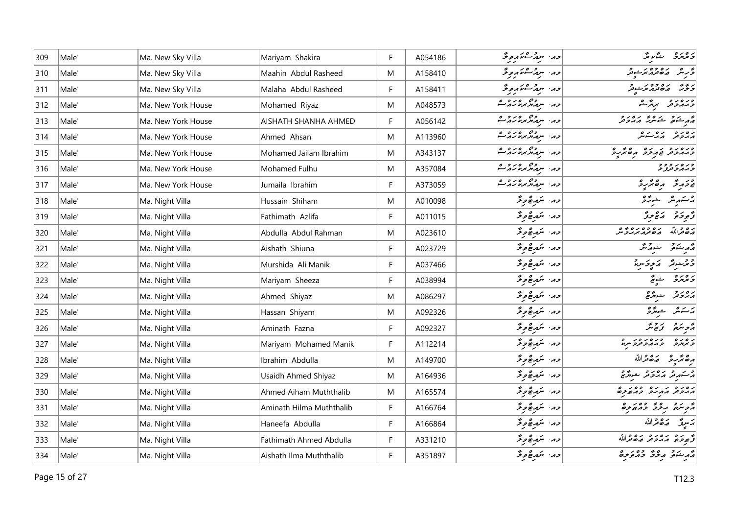| 309    | Male' | Ma. New Sky Villa  | Mariyam Shakira          | F           | A054186 | در سر مسار مروځ                            | وبروره سقويته                                                                                                        |
|--------|-------|--------------------|--------------------------|-------------|---------|--------------------------------------------|----------------------------------------------------------------------------------------------------------------------|
| 310    | Male' | Ma. New Sky Villa  | Maahin Abdul Rasheed     | M           | A158410 | حەر، سىدىسىدە ئەھ                          | ۇر بىر مەدەبر شوتىر<br>مەسىر مەھەرمىر شوتىر                                                                          |
| 311    | Male' | Ma. New Sky Villa  | Malaha Abdul Rasheed     | F           | A158411 | در سر مسار مروځ                            | ر و و ده وه د د د د<br>د کار د ه د د برخود                                                                           |
| $ 312$ | Male' | Ma. New York House | Mohamed Riyaz            | M           | A048573 | בגי ייתה בין כי כ                          | ورەرو برۇرە                                                                                                          |
| 313    | Male' | Ma. New York House | AISHATH SHANHA AHMED     | F           | A056142 | בגי יימית מערכים                           | و المرد و المرور المرد و در و المراجع المراجع المراجع المراجع المراجع المراجع المراجع المراجع المراجع المراجع        |
| 314    | Male' | Ma. New York House | Ahmed Ahsan              | M           | A113960 | ית בקי המי ה' ה"<br>و د ۰                  | رەرد رەپ                                                                                                             |
| 315    | Male' | Ma. New York House | Mohamed Jailam Ibrahim   | M           | A343137 | سرچ پر پارچ ہے<br>و د.                     | ورەر د در دە مەمگرد                                                                                                  |
| 316    | Male' | Ma. New York House | Mohamed Fulhu            | M           | A357084 | בגי יימה תמינה ב                           | و ر ٥ ر و و و<br>تر بر بر تدو تر                                                                                     |
| 317    | Male' | Ma. New York House | Jumaila Ibrahim          | F           | A373059 | בגי יימית מעולם                            | فأذرقه رەقرىر                                                                                                        |
| 318    | Male' | Ma. Night Villa    | Hussain Shiham           | M           | A010098 | حەر سىرق <i>مو</i> ڭر                      | ج ڪهر مٿن ڪ ڪرچي جي پير جي پير جي جي جي جي جي جي ڪري ڪري ڪري ڪري ڪالي جي ڪالي ڪري ڪالي ڪري ڪالي جي ڪالي جي جي<br>حرا |
| 319    | Male' | Ma. Night Villa    | Fathimath Azlifa         | F           | A011015 | دە. س <sub>كىر</sub> غ <sub>ۇ</sub> رگە    | وُمِوَدَهُ مَنْ وِوٌ                                                                                                 |
| 320    | Male' | Ma. Night Villa    | Abdulla Abdul Rahman     | M           | A023610 | حەر س <sub>ى</sub> ر ھ <sub>ى</sub> ئى     | ره وه ره ده.<br>په صوبر بربر تر س<br>برە تراللە                                                                      |
| 321    | Male' | Ma. Night Villa    | Aishath Shiuna           | F           | A023729 | دە. سەھ بۇ ئ <sup>ۇ</sup>                  | ومرشكو شورقم                                                                                                         |
| 322    | Male' | Ma. Night Villa    | Murshida Ali Manik       | $\mathsf F$ | A037466 | حەر. س <sub>كىر</sub> غ <sub>ى تو</sub> گە | ويرسونر كالموكاس                                                                                                     |
| 323    | Male' | Ma. Night Villa    | Mariyam Sheeza           | F           | A038994 | حەر س <sub>ى</sub> ر ھ <sub>ى</sub> ئى     | ر ه بر ه<br>تر <del>ب</del> ر بر<br>سُنْدِجٌ                                                                         |
| 324    | Male' | Ma. Night Villa    | Ahmed Shiyaz             | M           | A086297 | حەر س <sub>ى</sub> رىقمونخ                 | ے۔ مگر ج<br>پروژنر                                                                                                   |
| 325    | Male' | Ma. Night Villa    | Hassan Shiyam            | M           | A092326 | حەر س <sub>ى</sub> رغوغ                    | برَ کے مگر شوہر کر                                                                                                   |
| 326    | Male' | Ma. Night Villa    | Aminath Fazna            | F           | A092327 | حەر. س <sub>كىر</sub> غ <sub>ۇ بۇ</sub>    | ړٌ د سَرَةٍ کَمَ سَرَّ                                                                                               |
| 327    | Male' | Ma. Night Villa    | Mariyam Mohamed Manik    | F           | A112214 | حەر س <sub>ى</sub> ر ھ <sub>ى</sub> ئى     | 2 גם גבן הק<br>2 <i>ג</i> וג <i>ב</i> נקב ייקו<br>ر ه ر ه<br><del>د</del> بربرگر                                     |
| 328    | Male' | Ma. Night Villa    | Ibrahim Abdulla          | M           | A149700 | در. سَ <sub>م</sub> هوه و دَّ              | مەھەر ئەھىراللە                                                                                                      |
| 329    | Male' | Ma. Night Villa    | Usaidh Ahmed Shiyaz      | M           | A164936 | در. سُد <u>ە</u> وڭر                       |                                                                                                                      |
| 330    | Male' | Ma. Night Villa    | Ahmed Aiham Muththalib   | M           | A165574 | حەر س <sub>ى</sub> ر ھ <sub>ى</sub> ئى     | גם גב ג'ק גם ברית כם                                                                                                 |
| 331    | Male' | Ma. Night Villa    | Aminath Hilma Muththalib | $\mathsf F$ | A166764 | در. سَرِءٌ و دُ                            | הקיימה גיבל כתה בם                                                                                                   |
| 332    | Male' | Ma. Night Villa    | Haneefa Abdulla          | $\mathsf F$ | A166864 | حەر س <sub>ى</sub> ر ھ <sub>ى</sub> ئى     | ترسيق كانقاقدالله                                                                                                    |
| 333    | Male' | Ma. Night Villa    | Fathimath Ahmed Abdulla  | F           | A331210 | در. سَرِءُو دُ                             | و برو بره بره بره دالله                                                                                              |
| 334    | Male' | Ma. Night Villa    | Aishath Ilma Muththalib  | F           | A351897 | در سمدعودمح                                | a 107 00 00 00 00                                                                                                    |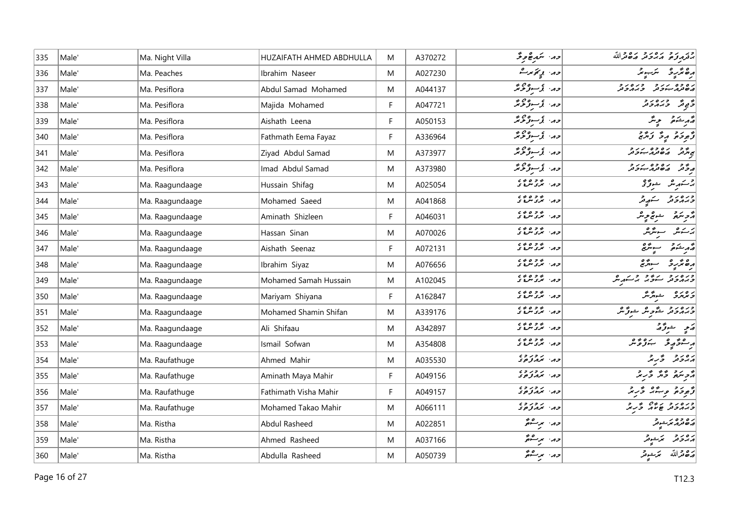| 335 | Male' | Ma. Night Villa | HUZAIFATH AHMED ABDHULLA | M           | A370272 | دە. سَرەھوڭە                           | وبر برو بروبرو بره قرالله                            |
|-----|-------|-----------------|--------------------------|-------------|---------|----------------------------------------|------------------------------------------------------|
| 336 | Male' | Ma. Peaches     | Ibrahim Naseer           | M           | A027230 | ور. بونمىرے                            | رەترىرو سىبد                                         |
| 337 | Male' | Ma. Pesiflora   | Abdul Samad Mohamed      | M           | A044137 | دەر، ئۇسۇۋىچە                          | נסכם נגב בנסגב<br>גםנגה-יכנג כגגבנ                   |
| 338 | Male' | Ma. Pesiflora   | Majida Mohamed           | F           | A047721 | دەر، ئۇسۇۋىچە                          | و رە ر د<br><i>د ب</i> رگرىز<br>  تَرُّمٍ تَرُّ      |
| 339 | Male' | Ma. Pesiflora   | Aishath Leena            | $\mathsf F$ | A050153 | دە بۇسۇۋغە                             | ړ پر شمېر موسر                                       |
| 340 | Male' | Ma. Pesiflora   | Fathmath Eema Fayaz      | F.          | A336964 | دە بۇسۇۋغە                             | و و د د و د و د                                      |
| 341 | Male' | Ma. Pesiflora   | Ziyad Abdul Samad        | M           | A373977 | دەر، ئۇسۇۋىچە                          | ے مرکز در 1990ء کے در 1999ء<br>محمد در 1994ء کی مرکز |
| 342 | Male' | Ma. Pesiflora   | Imad Abdul Samad         | M           | A373980 | دە ئۇسۇۋغەتتە                          | בי כסיר היור<br>הכני הסנג-יכנג                       |
| 343 | Male' | Ma. Raagundaage | Hussain Shifag           | M           | A025054 | و در ۶۵ و ده و د<br>و در کاری مربع و   | 2سكەر شەھرىقى                                        |
| 344 | Male' | Ma. Raagundaage | Mohamed Saeed            | M           | A041868 | و د به د ه و د د و<br>و د به سری سره د | وره رو در د                                          |
| 345 | Male' | Ma. Raagundaage | Aminath Shizleen         | F           | A046031 | ود کوه ده دی<br>ود کری سره ر           | ۇ ئەسىرە<br>مشوچ <sub>ح</sub> میں ک                  |
| 346 | Male' | Ma. Raagundaage | Hassan Sinan             | M           | A070026 | $55025 - 15$                           | ىرىكىش سەنئۇنلە                                      |
| 347 | Male' | Ma. Raagundaage | Aishath Seenaz           | F           | A072131 | و در ۱۶۶<br>وړ کری سره ک               | ومرشنو سوشي                                          |
| 348 | Male' | Ma. Raagundaage | Ibrahim Siyaz            | M           | A076656 | و د به د ه و د د و<br>و د به سری سره د | وه تررو سورم                                         |
| 349 | Male' | Ma. Raagundaage | Mohamed Samah Hussain    | M           | A102045 | و در ۱۶۶۵ و د د کار<br>د در ۱۶ سرع و   | ورەرو رود دىكرىگ                                     |
| 350 | Male' | Ma. Raagundaage | Mariyam Shiyana          | F           | A162847 | و در ۶۵<br>وه کري سره د                | دەرە ھەدىر                                           |
| 351 | Male' | Ma. Raagundaage | Mohamed Shamin Shifan    | M           | A339176 | و در ده و ده و د<br>و در سمری سره و    | ورەرو ئۇرىگر ئىرگىر                                  |
| 352 | Male' | Ma. Raagundaage | Ali Shifaau              | M           | A342897 | و در ده و ده و د<br>و در سمری مس       | أەكىم سىردە                                          |
| 353 | Male' | Ma. Raagundaage | Ismail Sofwan            | M           | A354808 | و در ۶۵ و ده و د<br>و در موی سره و     | ر مۇر ئەرەپەر                                        |
| 354 | Male' | Ma. Raufathuge  | Ahmed Mahir              | M           | A035530 | ג בג בי<br>כו <i>גי יצ</i> וג ציוצי    | رەر ۋرىر                                             |
| 355 | Male' | Ma. Raufathuge  | Aminath Maya Mahir       | F           | A049156 | ג דג די<br>דורי אורק נדב               | أأدبتهم والأورثر                                     |
| 356 | Male' | Ma. Raufathuge  | Fathimath Visha Mahir    | F           | A049157 | ג כג כי<br>כו <i>גי אחצ</i> פי         | وتجوفا وبثار وربر                                    |
| 357 | Male' | Ma. Raufathuge  | Mohamed Takao Mahir      | M           | A066111 | ر در در د.<br>در برمزور                |                                                      |
| 358 | Male' | Ma. Ristha      | Abdul Rasheed            | M           | A022851 | وړ برگونځ                              | ر ہ وہ بر شوتر<br>  پر کھ تر پر شوتر                 |
| 359 | Male' | Ma. Ristha      | Ahmed Rasheed            | M           | A037166 |                                        | رەرد ئەيدى<br> مەدىر ئىيدىر                          |
| 360 | Male' | Ma. Ristha      | Abdulla Rasheed          | M           | A050739 | اور برگوځ                              | بردورالله ترجعر                                      |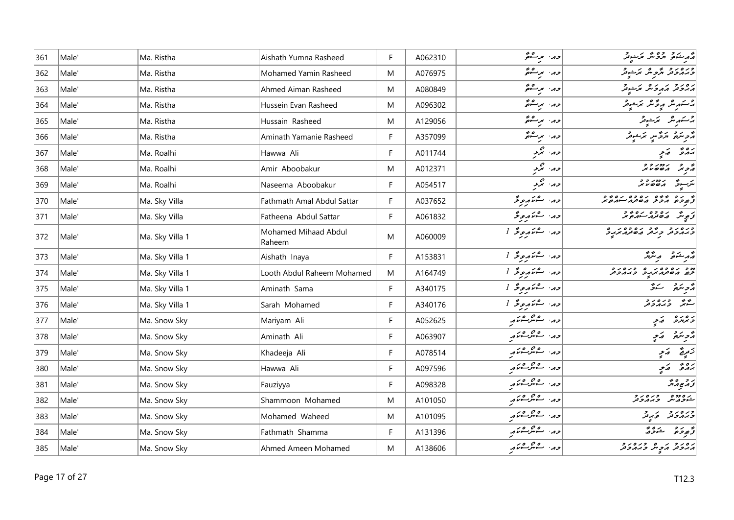| 361 | Male' | Ma. Ristha      | Aishath Yumna Rasheed          | F  | A062310 | در سرگوگر           | أقهر شده والمرور بمرشوش                                                                                |
|-----|-------|-----------------|--------------------------------|----|---------|---------------------|--------------------------------------------------------------------------------------------------------|
| 362 | Male' | Ma. Ristha      | Mohamed Yamin Rasheed          | M  | A076975 | دە. بېرىشقۇ         | ورەرو پەر تەر ترشي                                                                                     |
| 363 | Male' | Ma. Ristha      | Ahmed Aiman Rasheed            | M  | A080849 | در برعتمّ           | أرور و زرز مر برشوند                                                                                   |
| 364 | Male' | Ma. Ristha      | Hussein Evan Rasheed           | M  | A096302 | در برممو            |                                                                                                        |
| 365 | Male' | Ma. Ristha      | Hussain Rasheed                | M  | A129056 | ادر برگویچ<br>—     | رحم شكر مركب مركب وتر                                                                                  |
| 366 | Male' | Ma. Ristha      | Aminath Yamanie Rasheed        | F. | A357099 | اور برگور           | أأدمره الرواس مرشوش                                                                                    |
| 367 | Male' | Ma. Roalhi      | Hawwa Ali                      | F  | A011744 | ور. نورِ            | پروڅ وکړمي                                                                                             |
| 368 | Male' | Ma. Roalhi      | Amir Aboobakur                 | M  | A012371 | احد محمو            | 777777778                                                                                              |
| 369 | Male' | Ma. Roalhi      | Naseema Aboobakur              | F  | A054517 | حەر، ئىچىمىيە       |                                                                                                        |
| 370 | Male' | Ma. Sky Villa   | Fathmath Amal Abdul Sattar     | F  | A037652 | حەربە ئەمئە مەھرىچە | ם גב םםם גם גםם ב<br>צףכת הכת הסתה-מתפת                                                                |
| 371 | Male' | Ma. Sky Villa   | Fatheena Abdul Sattar          | F  | A061832 | دە. سىمئەروڭە       | تو محمد من من من من المحمد من المحمد من المحمد المحمد المحمد المحمد المحمد المحمد المحمد المحمد المحمد |
| 372 | Male' | Ma. Sky Villa 1 | Mohamed Mihaad Abdul<br>Raheem | M  | A060009 | [در. سنتوروځ 1      | כנסנג בשב נסכם נ                                                                                       |
| 373 | Male' | Ma. Sky Villa 1 | Aishath Inaya                  | F  | A153831 | دە، سىئەموڭە 1      | أقرم شكوه ويتركز                                                                                       |
| 374 | Male' | Ma. Sky Villa 1 | Looth Abdul Raheem Mohamed     | M  | A164749 | دەستىم ئەم ئۇ 1     | נדר גם כם גם כגם גר<br>محرج השתה <i>הגב ב</i> החבת                                                     |
| 375 | Male' | Ma. Sky Villa 1 | Aminath Sama                   | F  | A340175 | $15912 - 12$        | أزويترة سنتر                                                                                           |
| 376 | Male' | Ma. Sky Villa 1 | Sarah Mohamed                  | F  | A340176 | حەر، سىزىدە جوڭرا   | شهر وره دو                                                                                             |
| 377 | Male' | Ma. Snow Sky    | Mariyam Ali                    | F  | A052625 | ور. سوسر عرود       | وبروره المتو                                                                                           |
| 378 | Male' | Ma. Snow Sky    | Aminath Ali                    | F  | A063907 |                     | أزوينهم أرمح                                                                                           |
| 379 | Male' | Ma. Snow Sky    | Khadeeja Ali                   | F  | A078514 | ور. سونگرسوند       | تزويج كالمحي                                                                                           |
| 380 | Male' | Ma. Snow Sky    | Hawwa Ali                      | F  | A097596 | ور. سور من مر       | برەپچە كەمپە                                                                                           |
| 381 | Male' | Ma. Snow Sky    | Fauziyya                       | F. | A098328 | ور. سور سور مر      | ى تەسىم بەر<br>ئى                                                                                      |
| 382 | Male' | Ma. Snow Sky    | Shammoon Mohamed               | M  | A101050 | ور. سه سرسور        | شەھ جەھر<br>و رە ر د<br>تر پروتر                                                                       |
| 383 | Male' | Ma. Snow Sky    | Mohamed Waheed                 | M  | A101095 | כו. היית יון        | ورەر ئەر                                                                                               |
| 384 | Male' | Ma. Snow Sky    | Fathmath Shamma                | F. | A131396 | בו היית ביות        | أوجوحه شره و                                                                                           |
| 385 | Male' | Ma. Snow Sky    | Ahmed Ameen Mohamed            | M  | A138606 | حدث سنتكر شهر       | גפגב גבים בגסגב                                                                                        |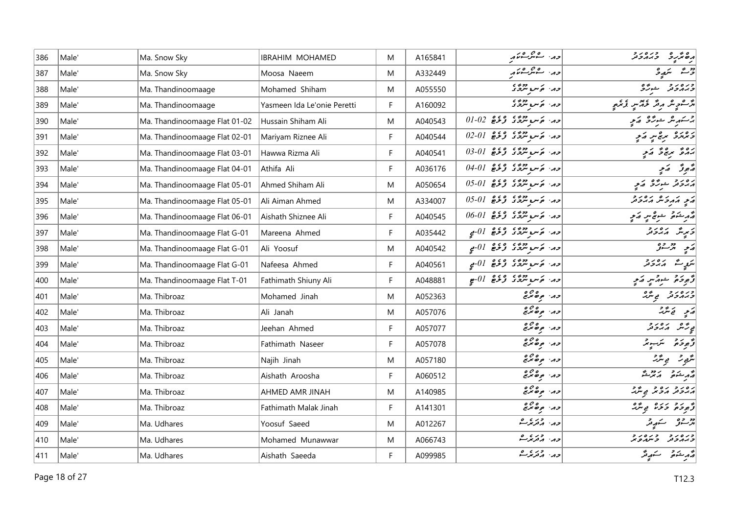| 386 | Male' | Ma. Snow Sky                  | <b>IBRAHIM MOHAMED</b>      | M           | A165841 | در. سه شرعتم                                                                                                                                                               | ره محرر ورورد                                                                    |
|-----|-------|-------------------------------|-----------------------------|-------------|---------|----------------------------------------------------------------------------------------------------------------------------------------------------------------------------|----------------------------------------------------------------------------------|
| 387 | Male' | Ma. Snow Sky                  | Moosa Naeem                 | M           | A332449 | در. سانگرستمبر                                                                                                                                                             | وقت سَهود                                                                        |
| 388 | Male' | Ma. Thandinoomaage            | Mohamed Shiham              | M           | A055550 | دړ٠ وکسو پروي                                                                                                                                                              | ورەرو شورگ                                                                       |
| 389 | Male' | Ma. Thandinoomaage            | Yasmeen Ida Le'onie Peretti | F.          | A160092 | وړ په کوسو پېړۍ د                                                                                                                                                          | ومصمح معر والملامح ومستجد والمحتفر والمنافع                                      |
| 390 | Male' | Ma. Thandinoomaage Flat 01-02 | Hussain Shiham Ali          | M           | A040543 | $\overline{01-02}$ و دوم دهم دوم د $\overline{01-02}$                                                                                                                      | بر سەر شەر ئە ئەسپە                                                              |
| 391 | Male' | Ma. Thandinoomaage Flat 02-01 | Mariyam Riznee Ali          | F           | A040544 | $02 - 01$ $0.9$ $0.2$ $0.7$ $0.7$ $0.7$ $0.7$ $0.7$                                                                                                                        | د وبرو برچ س کرم                                                                 |
| 392 | Male' | Ma. Thandinoomaage Flat 03-01 | Hawwa Rizma Ali             | F           | A040541 | $\overline{03}$ -01 وده، وده وروم ا                                                                                                                                        | بروژ برڅرڅ وکړ                                                                   |
| 393 | Male' | Ma. Thandinoomaage Flat 04-01 | Athifa Ali                  | F           | A036176 | $04-01$ $e^{0}$ $e^{0}$ $e^{0}$ $e^{0}$ $e^{0}$ $e^{0}$ $e^{0}$ $e^{0}$ $e^{0}$                                                                                            | أشجوق أمامي                                                                      |
| 394 | Male' | Ma. Thandinoomaage Flat 05-01 | Ahmed Shiham Ali            | M           | A050654 | $05 - 01$ $0.9$ $0.2$ $0.3$ $0.7$ $0.7$ $0.7$                                                                                                                              | رەرو جوڭۇ كەي                                                                    |
| 395 | Male' | Ma. Thandinoomaage Flat 05-01 | Ali Aiman Ahmed             | M           | A334007 | $05 - 01$ ودي وي وي $0.5 - 01$                                                                                                                                             | ב בתכיל ביכנ                                                                     |
| 396 | Male' | Ma. Thandinoomaage Flat 06-01 | Aishath Shiznee Ali         | $\mathsf F$ | A040545 | $06 - 01$ ودي وي وي $06 - 01$                                                                                                                                              | وأمر خنونج المسونج سرا وكرمو                                                     |
| 397 | Male' | Ma. Thandinoomaage Flat G-01  | Mareena Ahmed               | $\mathsf F$ | A035442 | ور. ، وَسو شِرْدُ وَ رُوْعَ $0$ -وِ                                                                                                                                        | كە ئەرەر ئەر                                                                     |
| 398 | Male' | Ma. Thandinoomaage Flat G-01  | Ali Yoosuf                  | M           | A040542 | ور. كوس دور، ووده 10-ي                                                                                                                                                     | أەيبىي دور دە                                                                    |
| 399 | Male' | Ma. Thandinoomaage Flat G-01  | Nafeesa Ahmed               | F           | A040561 | ور. مَسْ شَرَّيْ وَوَمْ إِلَ-مِي                                                                                                                                           | لترويت الابردير                                                                  |
| 400 | Male' | Ma. Thandinoomaage Flat T-01  | Fathimath Shiuny Ali        | F           | A048881 | ور. مَرس مردي وءه 10-مِ                                                                                                                                                    | قُرُوحَةَ شِيرَ سِي مَيْنِ                                                       |
| 401 | Male' | Ma. Thibroaz                  | Mohamed Jinah               | M           | A052363 | בו קם בש                                                                                                                                                                   | دبره بر دبر محمد برگر                                                            |
| 402 | Male' | Ma. Thibroaz                  | Ali Janah                   | M           | A057076 | בני קפימית                                                                                                                                                                 | أماسي وأعادهم                                                                    |
| 403 | Male' | Ma. Thibroaz                  | Jeehan Ahmed                | F           | A057077 | בו. הפשיקים                                                                                                                                                                | پې شه کې پره د د                                                                 |
| 404 | Male' | Ma. Thibroaz                  | Fathimath Naseer            | F           | A057078 | בו קם בש                                                                                                                                                                   | توجوخرة سترسونته                                                                 |
| 405 | Male' | Ma. Thibroaz                  | Najih Jinah                 | M           | A057180 | $\overset{o}{\phantom{o}}\overset{o}{\phantom{o}}\overset{o}{\phantom{o}}\overset{o}{\phantom{o}}\overset{o}{\phantom{o}}\overset{o}{\phantom{o}}\overset{o}{\phantom{o}}$ | سَرْمِ رَبِّ مِ سَرْرَ                                                           |
| 406 | Male' | Ma. Thibroaz                  | Aishath Aroosha             | F           | A060512 | כו. קיסיתים                                                                                                                                                                | أمار منتوي أما ترجمن                                                             |
| 407 | Male' | Ma. Thibroaz                  | AHMED AMR JINAH             | M           | A140985 | כו <i>גי פ</i> ליתים                                                                                                                                                       | ره رو رود و پرد                                                                  |
| 408 | Male' | Ma. Thibroaz                  | Fathimath Malak Jinah       | F           | A141301 | وړ٠ موځندي                                                                                                                                                                 | توجوحه ووته ويترك                                                                |
| 409 | Male' | Ma. Udhares                   | Yoosuf Saeed                | M           | A012267 | وړ . د تر پر ے                                                                                                                                                             | اور وه د سته پر                                                                  |
| 410 | Male' | Ma. Udhares                   | Mohamed Munawwar            | M           | A066743 | وړ ور په                                                                                                                                                                   | و ره ر د<br>ترسم <i>د</i> و بر<br>و ر ه ر د<br><del>و</del> بر <sub>ا</sub> ر تر |
| 411 | Male' | Ma. Udhares                   | Aishath Saeeda              | F           | A099985 | وړ ور په                                                                                                                                                                   | أقرم شوقر الشورقر                                                                |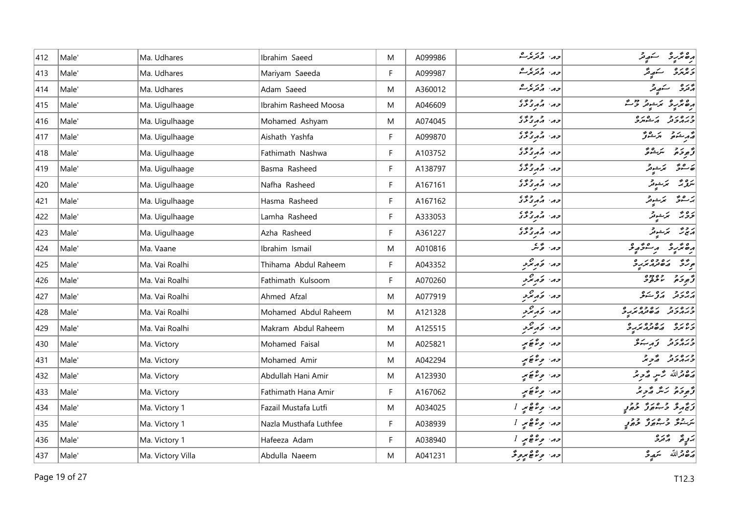| 412 | Male' | Ma. Udhares       | Ibrahim Saeed          | M           | A099986 | وړ٠ م <sup>و</sup> ر کړک   | ە ھەترىر 2<br>س<br>سکوپەتىر                  |
|-----|-------|-------------------|------------------------|-------------|---------|----------------------------|----------------------------------------------|
| 413 | Male' | Ma. Udhares       | Mariyam Saeeda         | F           | A099987 | وړ٠ دتربرگ                 | ر ه ر ه<br><del>و</del> بربرو                |
| 414 | Male' | Ma. Udhares       | Adam Saeed             | M           | A360012 | وړ ور په                   | پور ہ<br>پر تعری<br>سکھرتر                   |
| 415 | Male' | Ma. Uigulhaage    | Ibrahim Rasheed Moosa  | M           | A046609 | <br>  כוזי ומת ביביב       | رەپرى <sub>ر</sub> و بر <sub>ىشو</sub> ر ۋىگ |
| 416 | Male' | Ma. Uigulhaage    | Mohamed Ashyam         | M           | A074045 | כני נקנשים<br>כני נקנשים   | وره رو بر ۱۵ ره<br><i>د بر</i> بر تر شهرو    |
| 417 | Male' | Ma. Uigulhaage    | Aishath Yashfa         | $\mathsf F$ | A099870 | כו <i>יי הה</i> ביבי       | ە ئەرىشىتى ئىر ئىشتى                         |
| 418 | Male' | Ma. Uigulhaage    | Fathimath Nashwa       | F           | A103752 | כו. ו'תצידי                | توجو تحمد المترشوة                           |
| 419 | Male' | Ma. Uigulhaage    | Basma Rasheed          | F           | A138797 | כני נקבש בי<br>כני נקבש ב  | كاسكوكي المرتشوقر                            |
| 420 | Male' | Ma. Uigulhaage    | Nafha Rasheed          | F           | A167161 | כני נקנשי בשי              | برەپچە بەيئەتر                               |
| 421 | Male' | Ma. Uigulhaage    | Hasma Rasheed          | $\mathsf F$ | A167162 | כני וקניביבי               | ر<br>برگرمگر بر <sub>شو</sub> ر              |
| 422 | Male' | Ma. Uigulhaage    | Lamha Rasheed          | F           | A333053 | כני נקנשים<br>כני נקנשים   | تروش برجانر                                  |
| 423 | Male' | Ma. Uigulhaage    | Azha Rasheed           | F           | A361227 | בני ההביבי                 | أرجوش المرسوفر                               |
| 424 | Male' | Ma. Vaane         | Ibrahim Ismail         | M           | A010816 | وړ گرگر                    | رەنزىر بەسترەپر                              |
| 425 | Male' | Ma. Vai Roalhi    | Thihama Abdul Raheem   | $\mathsf F$ | A043352 | دە· <sub>ئ</sub> ۇرترىم    | C COLOR COLOR                                |
| 426 | Male' | Ma. Vai Roalhi    | Fathimath Kulsoom      | F           | A070260 | ور. ءَرِ پُرْ پ            | تو بر د د دوه<br>ترجيحه ملحقي                |
| 427 | Male' | Ma. Vai Roalhi    | Ahmed Afzal            | ${\sf M}$   | A077919 | ور. ءَرِ پڻو               | رەرو روپو                                    |
| 428 | Male' | Ma. Vai Roalhi    | Mohamed Abdul Raheem   | M           | A121328 | دە. ئەرتكى <sub>ر</sub>    | ورەرو رەوەررە                                |
| 429 | Male' | Ma. Vai Roalhi    | Makram Abdul Raheem    | M           | A125515 | وە ئەرتكى<br>ئ             | נים ניסיפים בי<br>המינה השינה בנייה          |
| 430 | Male' | Ma. Victory       | Mohamed Faisal         | M           | A025821 | حەر بەر ھۆمىيە             | ورەرو ۋەسكى                                  |
| 431 | Male' | Ma. Victory       | Mohamed Amir           | M           | A042294 | حەر بەر ھۆس <sub>ە</sub>   | כנסנכ בב                                     |
| 432 | Male' | Ma. Victory       | Abdullah Hani Amir     | M           | A123930 | حەر بەر ھۆس <sub>ىيە</sub> | رە قەللە شىر ئەربىر                          |
| 433 | Male' | Ma. Victory       | Fathimath Hana Amir    | F           | A167062 | حەر بەر ھۆس <sub>ىيە</sub> | و دو رند و د                                 |
| 434 | Male' | Ma. Victory 1     | Fazail Mustafa Lutfi   | M           | A034025 | حد وعقوبه ا                | زەرو دىسوژ دور                               |
| 435 | Male' | Ma. Victory 1     | Nazla Musthafa Luthfee | $\mathsf F$ | A038939 | حد وعقعبه ا                | يرجع ومنهوش وو                               |
| 436 | Male' | Ma. Victory 1     | Hafeeza Adam           | F           | A038940 | در وراء إ                  | پَرۡ وۡ نُوۡ الۡ وَ یَک                      |
| 437 | Male' | Ma. Victory Villa | Abdulla Naeem          | ${\sf M}$   | A041231 | در. وىئاھىروڭر             | مَەمْراللە سَمِي                             |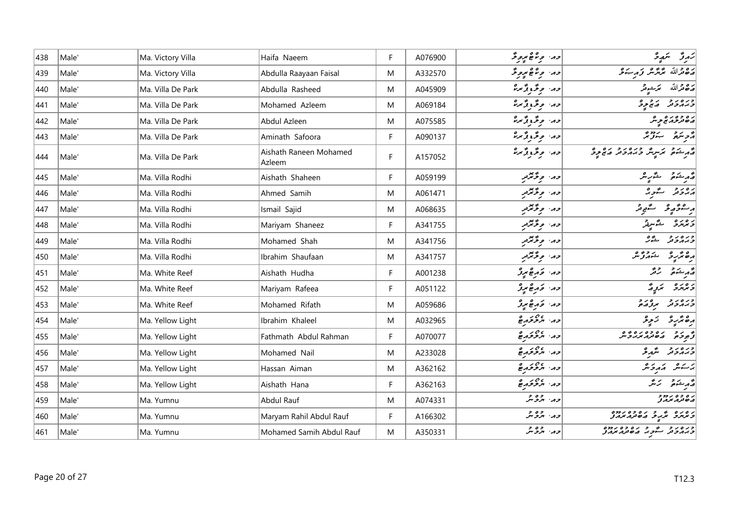| 438 | Male' | Ma. Victory Villa | Haifa Naeem                      | F         | A076900 | در وروبروژ                    | ئەرق سىمەدى                                                        |
|-----|-------|-------------------|----------------------------------|-----------|---------|-------------------------------|--------------------------------------------------------------------|
| 439 | Male' | Ma. Victory Villa | Abdulla Raayaan Faisal           | M         | A332570 | در ویاهمپوځ                   | رە داللە ئرىرىش تەربىق                                             |
| 440 | Male' | Ma. Villa De Park | Abdulla Rasheed                  | M         | A045909 | در· وِدَّبْ ِزَّ برما         | أرة قرالله تمزجونر                                                 |
| 441 | Male' | Ma. Villa De Park | Mohamed Azleem                   | M         | A069184 | ور، وڈوژمر                    | בגםגב גבב                                                          |
| 442 | Male' | Ma. Villa De Park | Abdul Azleen                     | M         | A075585 | در و ڈبویر                    | ر ه د و ر ه و پر<br>مه مرح بر م                                    |
| 443 | Male' | Ma. Villa De Park | Aminath Safoora                  | F         | A090137 | در و ڈی ڈیرا                  | ړې سره سورند                                                       |
| 444 | Male' | Ma. Villa De Park | Aishath Raneen Mohamed<br>Azleem | F         | A157052 | در· وِدُّ؛ ِدُّ برما          | ه درو برس ورورو ده و                                               |
| 445 | Male' | Ma. Villa Rodhi   | Aishath Shaheen                  | F         | A059199 | وړ· وِ وَتمرمر                | أقهر شور مقرر مر                                                   |
| 446 | Male' | Ma. Villa Rodhi   | Ahmed Samih                      | M         | A061471 | وړ٠ و و ترو                   | أرەر ئەرە                                                          |
| 447 | Male' | Ma. Villa Rodhi   | Ismail Sajid                     | M         | A068635 | دړ· وِڅترمر                   | أرسادة مريح المستحقين                                              |
| 448 | Male' | Ma. Villa Rodhi   | Mariyam Shaneez                  | F         | A341755 | وړ٠ و <i>ڈی</i> زمر           | ئەمەر ە<br>ڪ سرنگر                                                 |
| 449 | Male' | Ma. Villa Rodhi   | Mohamed Shah                     | M         | A341756 | وړ· وِڅټرمر                   | و ره ر د<br>تر پر ژنر<br>ىشىۋ                                      |
| 450 | Male' | Ma. Villa Rodhi   | Ibrahim Shaufaan                 | M         | A341757 | وړ٠ و و ترو                   | رەئمەر ۋ<br>ىش <i>ەر ۋى</i> گر                                     |
| 451 | Male' | Ma. White Reef    | Aishath Hudha                    | F         | A001238 | در. <sub>ع</sub> ُ دِعْ بِروْ | أقهر شوهي الرقر                                                    |
| 452 | Male' | Ma. White Reef    | Mariyam Rafeea                   | F         | A051122 | حەر، ئۇم <sub>ە</sub> ھىمبۇ   | د ۱۵ د و په                                                        |
| 453 | Male' | Ma. White Reef    | Mohamed Rifath                   | M         | A059686 | حەر، ئۇم <sub>ە</sub> ھىمبۇ   | و رە ر د<br><i>د ب</i> رگرىز<br>بروده                              |
| 454 | Male' | Ma. Yellow Light  | Ibrahim Khaleel                  | M         | A032965 | בגי תיכי <i>ב</i> ת <u>ס</u>  | ەھ ئۈر ۋ<br>زَبِرو                                                 |
| 455 | Male' | Ma. Yellow Light  | Fathmath Abdul Rahman            | F         | A070077 | בו ית בבתם                    | ره وه ره د ه<br>پره تربر تر تر<br>و څې د د                         |
| 456 | Male' | Ma. Yellow Light  | Mohamed Nail                     | M         | A233028 | בגי תל <i>לת</i> ם            | و ره ر د<br>تر پر ژنگر<br>سَمْد څر                                 |
| 457 | Male' | Ma. Yellow Light  | Hassan Aiman                     | M         | A362162 | ית ייתר<br>כתי תככתים         | يز کشش مزمرخ مر                                                    |
| 458 | Male' | Ma. Yellow Light  | Aishath Hana                     | F         | A362163 | בת מית באת <u>ם</u>           | پھر ڪر ج<br><i>ھڏ</i> ر ڪوي                                        |
| 459 | Male' | Ma. Yumnu         | Abdul Rauf                       | M         | A074331 | כו <i>גי תכ</i> ית            | ر ه و ه ر دد د<br>پره مربر تر                                      |
| 460 | Male' | Ma. Yumnu         | Maryam Rahil Abdul Rauf          | F         | A166302 | כו. יחבית                     | נ 2010 בי ב 1070 במה<br>ב <i>בחרב "ב בין ב ה</i> שב <i>נה ב</i> הב |
| 461 | Male' | Ma. Yumnu         | Mohamed Samih Abdul Rauf         | ${\sf M}$ | A350331 | כו. יקכית                     | כנסני - יי כנסים נחם<br>כמתכת - ייכא השתחינה צ                     |
|     |       |                   |                                  |           |         |                               |                                                                    |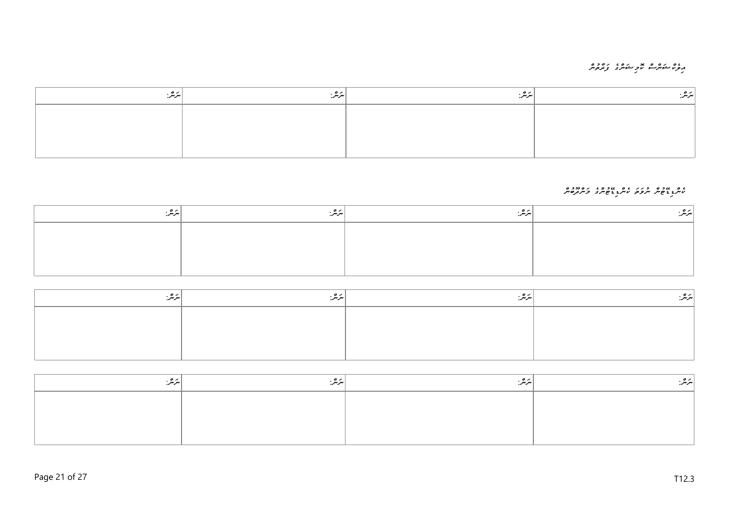## *w7qAn8m? sCw7mRo>u; wEw7mRw;sBo<*

| ' مرمر | 'يئرىثر: |
|--------|----------|
|        |          |
|        |          |
|        |          |

## *w7q9r@w7m> sCw7qHtFoFw7s; mAm=q7 w7qHtFoFw7s;*

| ىر تە | $\mathcal{O} \times$<br>$\sim$ | $\sim$<br>. . | لترنثر |
|-------|--------------------------------|---------------|--------|
|       |                                |               |        |
|       |                                |               |        |
|       |                                |               |        |

| $\frac{2}{n}$ | $\overline{\phantom{a}}$ | اير هنه. | $\mathcal{O} \times$<br>سرسر |
|---------------|--------------------------|----------|------------------------------|
|               |                          |          |                              |
|               |                          |          |                              |
|               |                          |          |                              |

| ' ئىرتىر: | سر سر |  |
|-----------|-------|--|
|           |       |  |
|           |       |  |
|           |       |  |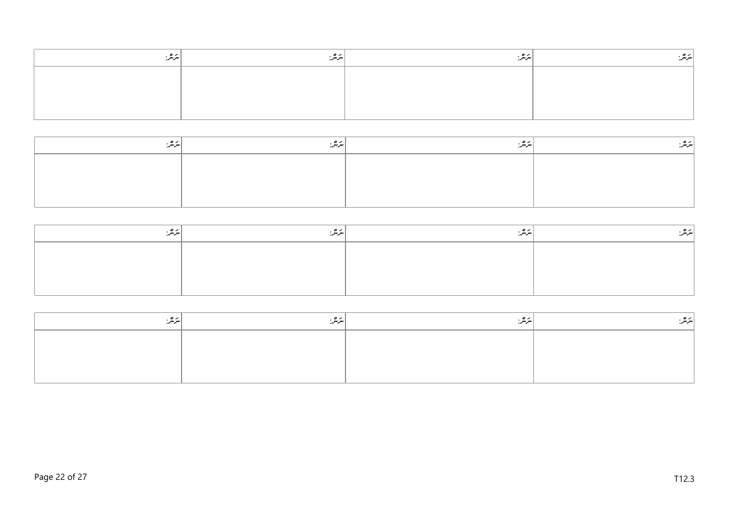| يزهر | $^{\circ}$ | ىئرىتر: |  |
|------|------------|---------|--|
|      |            |         |  |
|      |            |         |  |
|      |            |         |  |

| <sup>.</sup> سرسر. |  |
|--------------------|--|
|                    |  |
|                    |  |
|                    |  |

| ىئرىتر. | $\sim$ | ا بر هه. | لىرىش |
|---------|--------|----------|-------|
|         |        |          |       |
|         |        |          |       |
|         |        |          |       |

| 。<br>مرس. | $\overline{\phantom{a}}$<br>مر سر | يتريثر |
|-----------|-----------------------------------|--------|
|           |                                   |        |
|           |                                   |        |
|           |                                   |        |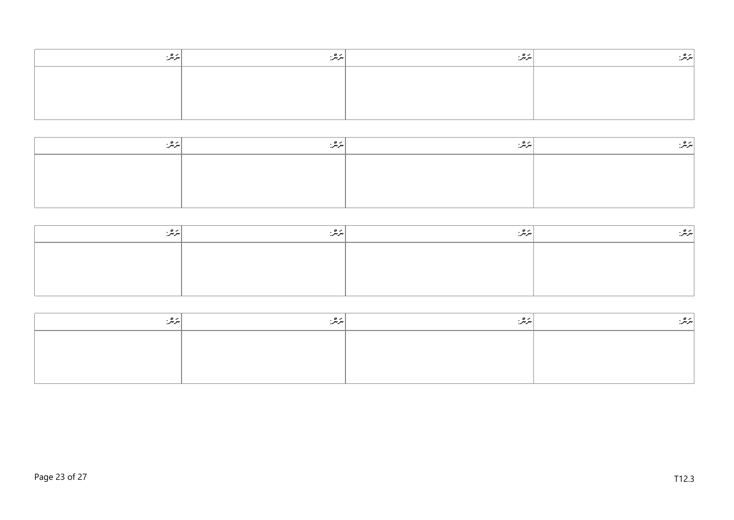| ير هو . | $\overline{\phantom{a}}$ | يرمر | اير هنه. |
|---------|--------------------------|------|----------|
|         |                          |      |          |
|         |                          |      |          |
|         |                          |      |          |

| ئىرتىر: | $\sim$<br>ا سرسر . | يئرمثر | o . |
|---------|--------------------|--------|-----|
|         |                    |        |     |
|         |                    |        |     |
|         |                    |        |     |

| 'تترنثر: | . .<br>يسمونس. |  |
|----------|----------------|--|
|          |                |  |
|          |                |  |
|          |                |  |

|  | . ه |
|--|-----|
|  |     |
|  |     |
|  |     |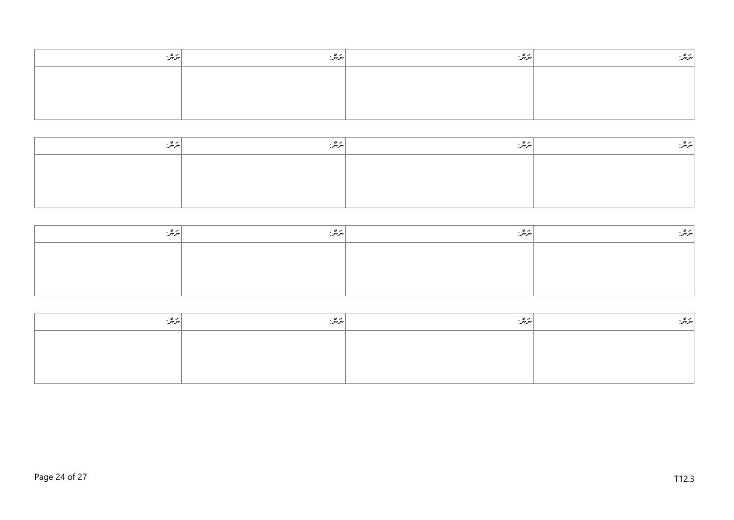| ير هو . | $\overline{\phantom{a}}$ | يرمر | اير هنه. |
|---------|--------------------------|------|----------|
|         |                          |      |          |
|         |                          |      |          |
|         |                          |      |          |

| ىر تىر: | $\circ$ $\sim$<br>" سرسر . | يترمير | o . |
|---------|----------------------------|--------|-----|
|         |                            |        |     |
|         |                            |        |     |
|         |                            |        |     |

| 'تترنثر: | . .<br>يسمونس. |  |
|----------|----------------|--|
|          |                |  |
|          |                |  |
|          |                |  |

|  | . ه |
|--|-----|
|  |     |
|  |     |
|  |     |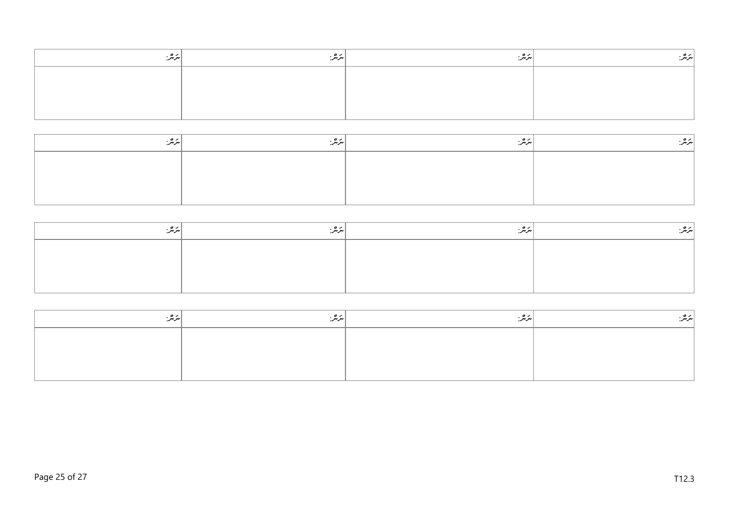| $\cdot$ | ο. | $\frac{\circ}{\cdot}$ | $\sim$<br>سرسر |
|---------|----|-----------------------|----------------|
|         |    |                       |                |
|         |    |                       |                |
|         |    |                       |                |

| ايرعر: | ر ه<br>. . |  |
|--------|------------|--|
|        |            |  |
|        |            |  |
|        |            |  |

| بر ه | 。 | $\sim$<br>َ سومس |  |
|------|---|------------------|--|
|      |   |                  |  |
|      |   |                  |  |
|      |   |                  |  |

| 。<br>. س | ىرىىر |  |
|----------|-------|--|
|          |       |  |
|          |       |  |
|          |       |  |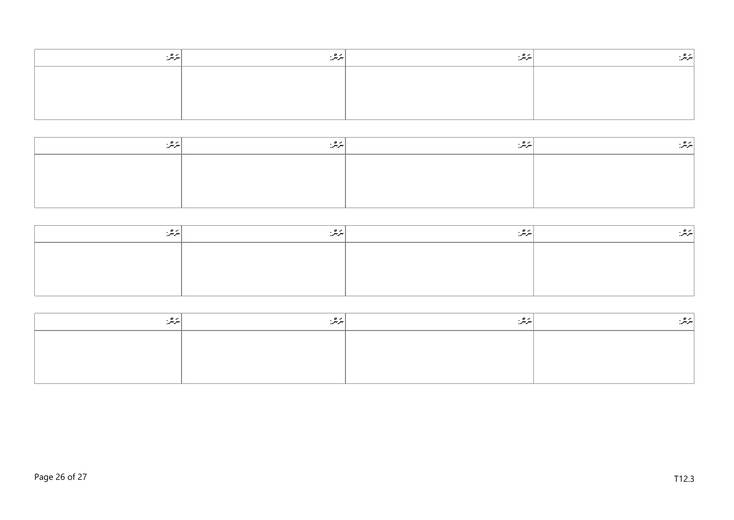| ير هو . | $\overline{\phantom{a}}$ | يرمر | لتزمثن |
|---------|--------------------------|------|--------|
|         |                          |      |        |
|         |                          |      |        |
|         |                          |      |        |

| ىئرىتى: | الترنثين | ا بر هر: | o <i>~</i><br>َ سرسر |
|---------|----------|----------|----------------------|
|         |          |          |                      |
|         |          |          |                      |
|         |          |          |                      |

| الترنثر: | ' مرتكز: | الترنثر: | .,<br>سرسر. |
|----------|----------|----------|-------------|
|          |          |          |             |
|          |          |          |             |
|          |          |          |             |

|  | . ه |
|--|-----|
|  |     |
|  |     |
|  |     |